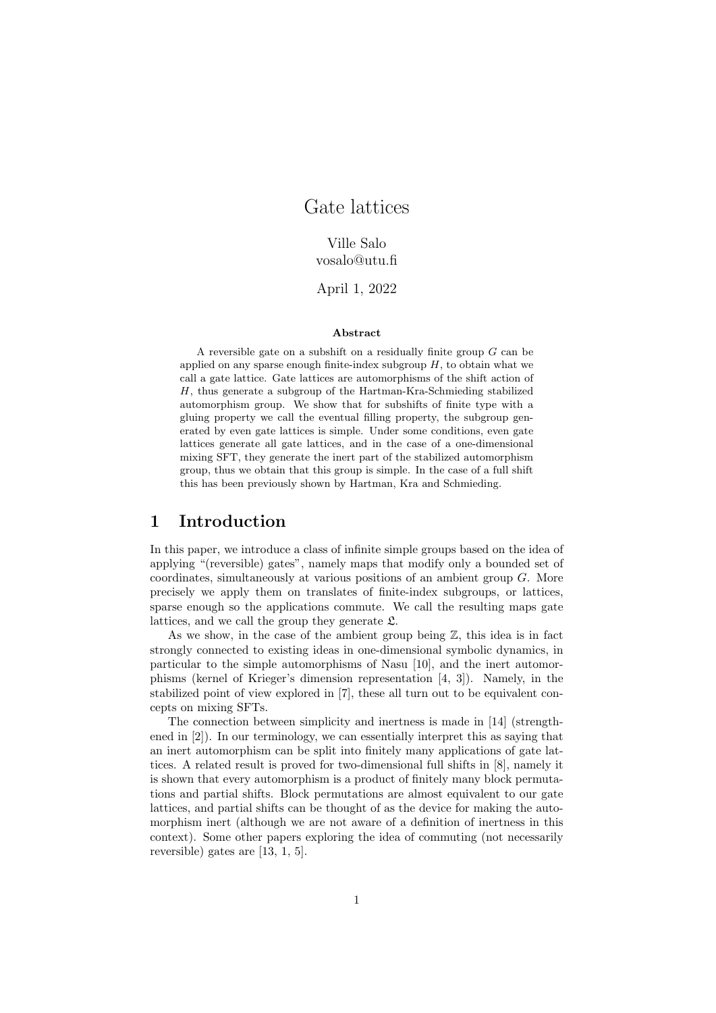# Gate lattices

# Ville Salo vosalo@utu.fi

April 1, 2022

#### Abstract

A reversible gate on a subshift on a residually finite group  $G$  can be applied on any sparse enough finite-index subgroup  $H$ , to obtain what we call a gate lattice. Gate lattices are automorphisms of the shift action of H, thus generate a subgroup of the Hartman-Kra-Schmieding stabilized automorphism group. We show that for subshifts of finite type with a gluing property we call the eventual filling property, the subgroup generated by even gate lattices is simple. Under some conditions, even gate lattices generate all gate lattices, and in the case of a one-dimensional mixing SFT, they generate the inert part of the stabilized automorphism group, thus we obtain that this group is simple. In the case of a full shift this has been previously shown by Hartman, Kra and Schmieding.

# 1 Introduction

In this paper, we introduce a class of infinite simple groups based on the idea of applying "(reversible) gates", namely maps that modify only a bounded set of coordinates, simultaneously at various positions of an ambient group G. More precisely we apply them on translates of finite-index subgroups, or lattices, sparse enough so the applications commute. We call the resulting maps gate lattices, and we call the group they generate  $\mathfrak{L}$ .

As we show, in the case of the ambient group being  $\mathbb{Z}$ , this idea is in fact strongly connected to existing ideas in one-dimensional symbolic dynamics, in particular to the simple automorphisms of Nasu [10], and the inert automorphisms (kernel of Krieger's dimension representation [4, 3]). Namely, in the stabilized point of view explored in [7], these all turn out to be equivalent concepts on mixing SFTs.

The connection between simplicity and inertness is made in [14] (strengthened in [2]). In our terminology, we can essentially interpret this as saying that an inert automorphism can be split into finitely many applications of gate lattices. A related result is proved for two-dimensional full shifts in [8], namely it is shown that every automorphism is a product of finitely many block permutations and partial shifts. Block permutations are almost equivalent to our gate lattices, and partial shifts can be thought of as the device for making the automorphism inert (although we are not aware of a definition of inertness in this context). Some other papers exploring the idea of commuting (not necessarily reversible) gates are [13, 1, 5].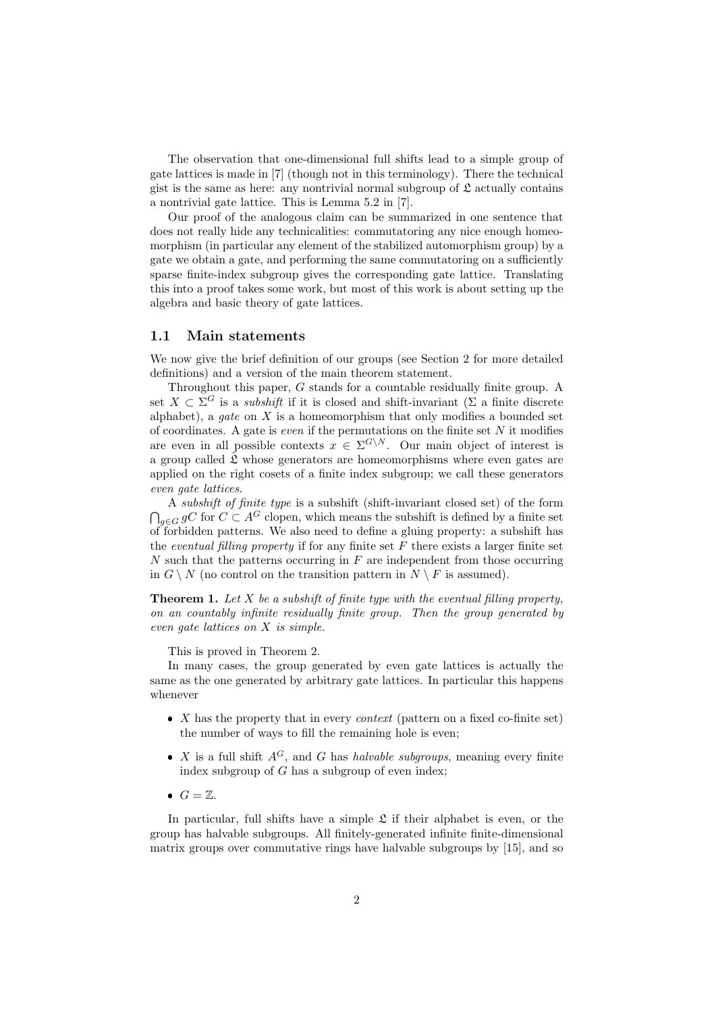The observation that one-dimensional full shifts lead to a simple group of gate lattices is made in [7] (though not in this terminology). There the technical gist is the same as here: any nontrivial normal subgroup of  $\mathfrak L$  actually contains a nontrivial gate lattice. This is Lemma 5.2 in [7].

Our proof of the analogous claim can be summarized in one sentence that does not really hide any technicalities: commutatoring any nice enough homeomorphism (in particular any element of the stabilized automorphism group) by a gate we obtain a gate, and performing the same commutatoring on a sufficiently sparse finite-index subgroup gives the corresponding gate lattice. Translating this into a proof takes some work, but most of this work is about setting up the algebra and basic theory of gate lattices.

# 1.1 Main statements

We now give the brief definition of our groups (see Section 2 for more detailed definitions) and a version of the main theorem statement.

Throughout this paper, G stands for a countable residually finite group. A set  $X \subset \Sigma^G$  is a *subshift* if it is closed and shift-invariant ( $\Sigma$  a finite discrete alphabet), a *qate* on  $X$  is a homeomorphism that only modifies a bounded set of coordinates. A gate is *even* if the permutations on the finite set  $N$  it modifies are even in all possible contexts  $x \in \Sigma^{G \setminus N}$ . Our main object of interest is a group called  $\hat{\mathfrak{L}}$  whose generators are homeomorphisms where even gates are applied on the right cosets of a finite index subgroup; we call these generators even gate lattices.

A subshift of finite type is a subshift (shift-invariant closed set) of the form  $\bigcap_{g\in G} gC$  for  $C \subset A^G$  clopen, which means the subshift is defined by a finite set of forbidden patterns. We also need to define a gluing property: a subshift has the eventual filling property if for any finite set  $F$  there exists a larger finite set  $N$  such that the patterns occurring in  $F$  are independent from those occurring in  $G \setminus N$  (no control on the transition pattern in  $N \setminus F$  is assumed).

**Theorem 1.** Let  $X$  be a subshift of finite type with the eventual filling property, on an countably infinite residually finite group. Then the group generated by even gate lattices on X is simple.

This is proved in Theorem 2.

In many cases, the group generated by even gate lattices is actually the same as the one generated by arbitrary gate lattices. In particular this happens whenever

- $\bullet$  X has the property that in every *context* (pattern on a fixed co-finite set) the number of ways to fill the remaining hole is even;
- $\bullet$  X is a full shift  $A^G$ , and G has *halvable subgroups*, meaning every finite index subgroup of  $G$  has a subgroup of even index;
- $G = \mathbb{Z}$ .

In particular, full shifts have a simple  $\mathfrak L$  if their alphabet is even, or the group has halvable subgroups. All finitely-generated infinite finite-dimensional matrix groups over commutative rings have halvable subgroups by [15], and so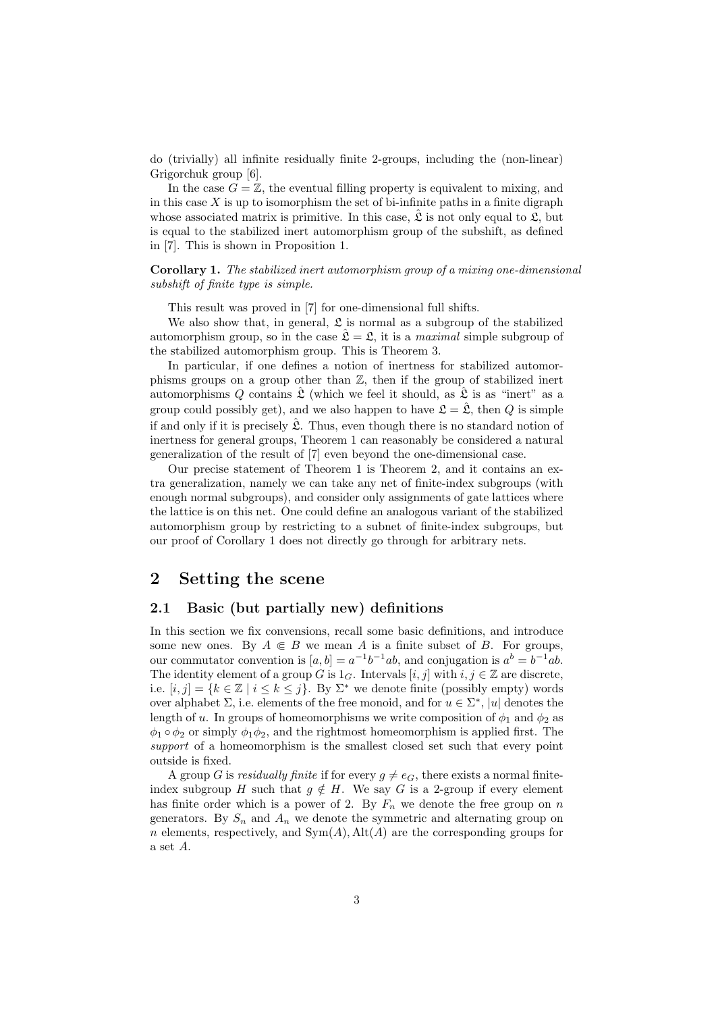do (trivially) all infinite residually finite 2-groups, including the (non-linear) Grigorchuk group [6].

In the case  $G = \mathbb{Z}$ , the eventual filling property is equivalent to mixing, and in this case  $X$  is up to isomorphism the set of bi-infinite paths in a finite digraph whose associated matrix is primitive. In this case,  $\hat{\mathfrak{L}}$  is not only equal to  $\mathfrak{L}$ , but is equal to the stabilized inert automorphism group of the subshift, as defined in [7]. This is shown in Proposition 1.

### Corollary 1. The stabilized inert automorphism group of a mixing one-dimensional subshift of finite type is simple.

This result was proved in [7] for one-dimensional full shifts.

We also show that, in general,  $\mathfrak L$  is normal as a subgroup of the stabilized automorphism group, so in the case  $\hat{\mathcal{L}} = \mathcal{L}$ , it is a *maximal* simple subgroup of the stabilized automorphism group. This is Theorem 3.

In particular, if one defines a notion of inertness for stabilized automorphisms groups on a group other than Z, then if the group of stabilized inert automorphisms Q contains  $\mathfrak L$  (which we feel it should, as  $\mathfrak L$  is as "inert" as a group could possibly get), and we also happen to have  $\mathfrak{L} = \hat{\mathfrak{L}}$ , then Q is simple if and only if it is precisely  $\hat{\mathfrak{L}}$ . Thus, even though there is no standard notion of inertness for general groups, Theorem 1 can reasonably be considered a natural generalization of the result of [7] even beyond the one-dimensional case.

Our precise statement of Theorem 1 is Theorem 2, and it contains an extra generalization, namely we can take any net of finite-index subgroups (with enough normal subgroups), and consider only assignments of gate lattices where the lattice is on this net. One could define an analogous variant of the stabilized automorphism group by restricting to a subnet of finite-index subgroups, but our proof of Corollary 1 does not directly go through for arbitrary nets.

# 2 Setting the scene

### 2.1 Basic (but partially new) definitions

In this section we fix convensions, recall some basic definitions, and introduce some new ones. By  $A \in B$  we mean A is a finite subset of B. For groups, our commutator convention is  $[a, b] = a^{-1}b^{-1}ab$ , and conjugation is  $a^b = b^{-1}ab$ . The identity element of a group G is  $1_G$ . Intervals  $[i, j]$  with  $i, j \in \mathbb{Z}$  are discrete, i.e.  $[i, j] = \{k \in \mathbb{Z} \mid i \leq k \leq j\}$ . By  $\Sigma^*$  we denote finite (possibly empty) words over alphabet  $\Sigma$ , i.e. elements of the free monoid, and for  $u \in \Sigma^*$ , |u| denotes the length of u. In groups of homeomorphisms we write composition of  $\phi_1$  and  $\phi_2$  as  $\phi_1 \circ \phi_2$  or simply  $\phi_1 \phi_2$ , and the rightmost homeomorphism is applied first. The support of a homeomorphism is the smallest closed set such that every point outside is fixed.

A group G is residually finite if for every  $g \neq e_G$ , there exists a normal finiteindex subgroup H such that  $g \notin H$ . We say G is a 2-group if every element has finite order which is a power of 2. By  $F_n$  we denote the free group on n generators. By  $S_n$  and  $A_n$  we denote the symmetric and alternating group on n elements, respectively, and  $Sym(A)$ , Alt $(A)$  are the corresponding groups for a set A.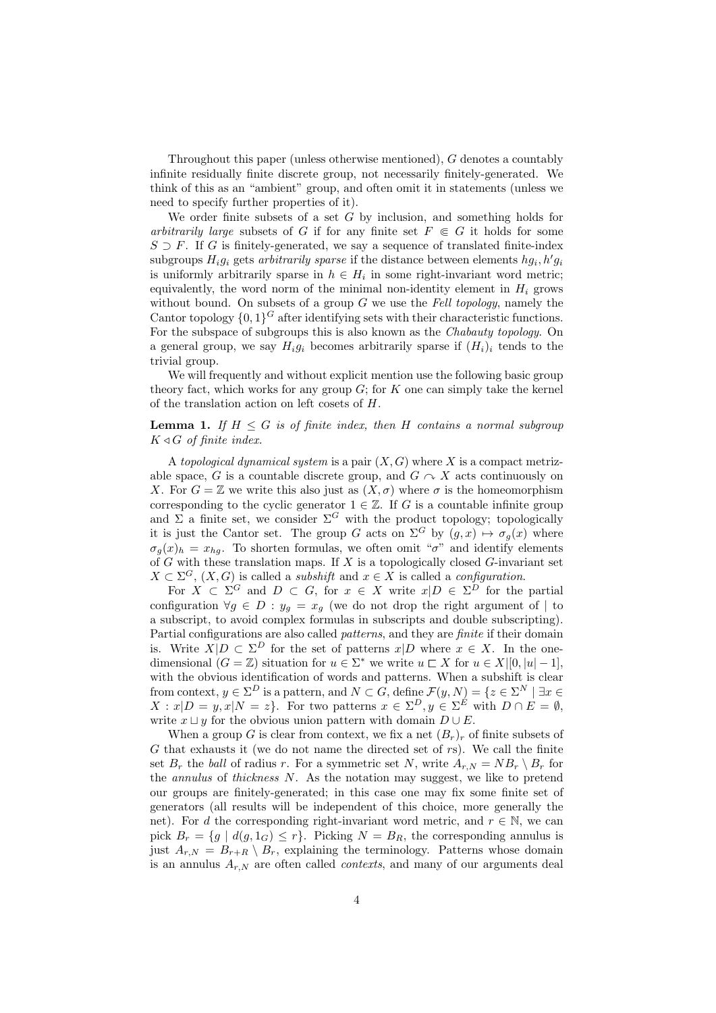Throughout this paper (unless otherwise mentioned), G denotes a countably infinite residually finite discrete group, not necessarily finitely-generated. We think of this as an "ambient" group, and often omit it in statements (unless we need to specify further properties of it).

We order finite subsets of a set  $G$  by inclusion, and something holds for arbitrarily large subsets of G if for any finite set  $F \in G$  it holds for some  $S \supset F$ . If G is finitely-generated, we say a sequence of translated finite-index subgroups  $H_i g_i$  gets arbitrarily sparse if the distance between elements  $hg_i, h'g_i$ is uniformly arbitrarily sparse in  $h \in H_i$  in some right-invariant word metric; equivalently, the word norm of the minimal non-identity element in  $H_i$  grows without bound. On subsets of a group  $G$  we use the Fell topology, namely the Cantor topology  $\{0,1\}^G$  after identifying sets with their characteristic functions. For the subspace of subgroups this is also known as the Chabauty topology. On a general group, we say  $H_i g_i$  becomes arbitrarily sparse if  $(H_i)_i$  tends to the trivial group.

We will frequently and without explicit mention use the following basic group theory fact, which works for any group  $G$ ; for  $K$  one can simply take the kernel of the translation action on left cosets of H.

# **Lemma 1.** If  $H \leq G$  is of finite index, then H contains a normal subgroup  $K \triangleleft G$  of finite index.

A topological dynamical system is a pair  $(X, G)$  where X is a compact metrizable space, G is a countable discrete group, and  $G \curvearrowright X$  acts continuously on X. For  $G = \mathbb{Z}$  we write this also just as  $(X, \sigma)$  where  $\sigma$  is the homeomorphism corresponding to the cyclic generator  $1 \in \mathbb{Z}$ . If G is a countable infinite group and  $\Sigma$  a finite set, we consider  $\Sigma^G$  with the product topology; topologically it is just the Cantor set. The group G acts on  $\Sigma^G$  by  $(g, x) \mapsto \sigma_g(x)$  where  $\sigma_q(x)_h = x_{hg}$ . To shorten formulas, we often omit " $\sigma$ " and identify elements of  $G$  with these translation maps. If  $X$  is a topologically closed  $G$ -invariant set  $X \subset \Sigma^G$ ,  $(X, G)$  is called a *subshift* and  $x \in X$  is called a *configuration*.

For  $X \subset \Sigma^G$  and  $D \subset G$ , for  $x \in X$  write  $x|D \in \Sigma^D$  for the partial configuration  $\forall g \in D : y_g = x_g$  (we do not drop the right argument of | to a subscript, to avoid complex formulas in subscripts and double subscripting). Partial configurations are also called *patterns*, and they are *finite* if their domain is. Write  $X|D \subset \Sigma^D$  for the set of patterns  $x|D$  where  $x \in X$ . In the onedimensional  $(G = \mathbb{Z})$  situation for  $u \in \Sigma^*$  we write  $u \subset X$  for  $u \in X|[0, |u| - 1]$ , with the obvious identification of words and patterns. When a subshift is clear from context,  $y \in \Sigma^D$  is a pattern, and  $N \subset G$ , define  $\mathcal{F}(y, N) = \{z \in \Sigma^N \mid \exists x \in$  $X: x|D = y, x|N = z$ . For two patterns  $x \in \Sigma^D, y \in \Sigma^E$  with  $D \cap E = \emptyset$ , write  $x \sqcup y$  for the obvious union pattern with domain  $D \cup E$ .

When a group G is clear from context, we fix a net  $(B_r)_r$  of finite subsets of  $G$  that exhausts it (we do not name the directed set of  $rs$ ). We call the finite set  $B_r$  the *ball* of radius r. For a symmetric set N, write  $A_{r,N} = NB_r \setminus B_r$  for the *annulus* of *thickness*  $N$ . As the notation may suggest, we like to pretend our groups are finitely-generated; in this case one may fix some finite set of generators (all results will be independent of this choice, more generally the net). For d the corresponding right-invariant word metric, and  $r \in \mathbb{N}$ , we can pick  $B_r = \{g \mid d(g, 1_G) \leq r\}$ . Picking  $N = B_R$ , the corresponding annulus is just  $A_{r,N} = B_{r+R} \setminus B_r$ , explaining the terminology. Patterns whose domain is an annulus  $A_{r,N}$  are often called *contexts*, and many of our arguments deal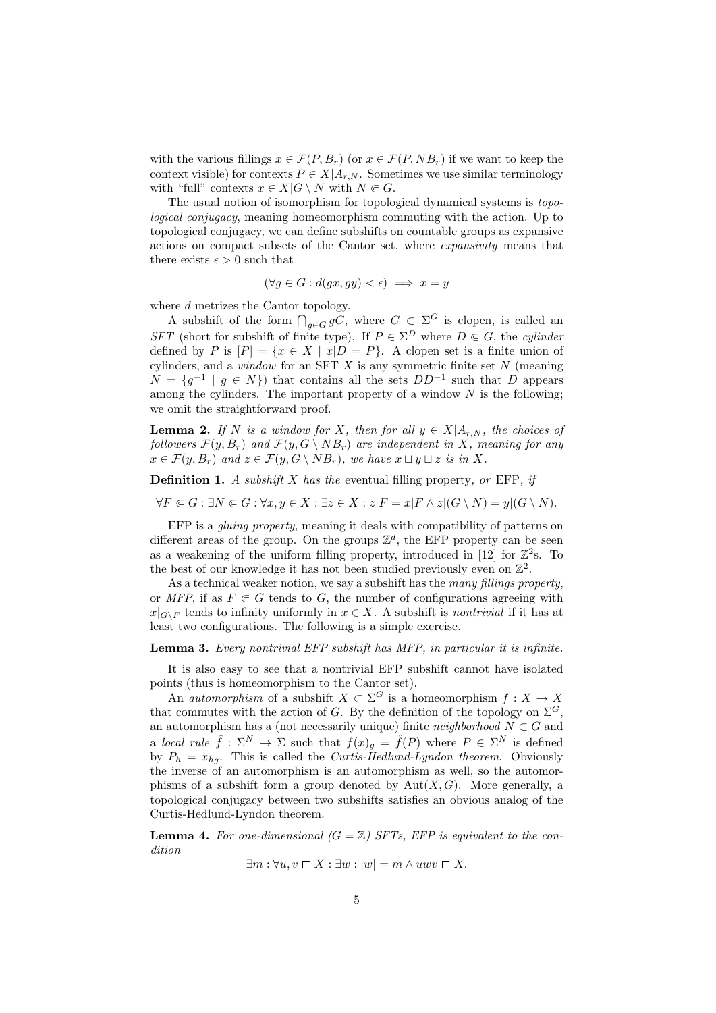with the various fillings  $x \in \mathcal{F}(P, B_r)$  (or  $x \in \mathcal{F}(P, NB_r)$ ) if we want to keep the context visible) for contexts  $P \in X|A_{r,N}$ . Sometimes we use similar terminology with "full" contexts  $x \in X | G \setminus N$  with  $N \in G$ .

The usual notion of isomorphism for topological dynamical systems is topological conjugacy, meaning homeomorphism commuting with the action. Up to topological conjugacy, we can define subshifts on countable groups as expansive actions on compact subsets of the Cantor set, where expansivity means that there exists  $\epsilon > 0$  such that

$$
(\forall g \in G : d(gx, gy) < \epsilon) \implies x = y
$$

where d metrizes the Cantor topology.

A subshift of the form  $\bigcap_{g\in G} gC$ , where  $C \subset \Sigma^G$  is clopen, is called an SFT (short for subshift of finite type). If  $P \in \Sigma^D$  where  $D \subseteq G$ , the cylinder defined by P is  $[P] = \{x \in X \mid x|D = P\}$ . A clopen set is a finite union of cylinders, and a *window* for an SFT  $X$  is any symmetric finite set  $N$  (meaning  $N = \{g^{-1} | g \in N\}$  that contains all the sets  $DD^{-1}$  such that D appears among the cylinders. The important property of a window  $N$  is the following; we omit the straightforward proof.

**Lemma 2.** If N is a window for X, then for all  $y \in X|A_{r,N}$ , the choices of followers  $\mathcal{F}(y, B_r)$  and  $\mathcal{F}(y, G \setminus NB_r)$  are independent in X, meaning for any  $x \in \mathcal{F}(y, B_r)$  and  $z \in \mathcal{F}(y, G \setminus NB_r)$ , we have  $x \sqcup y \sqcup z$  is in X.

**Definition 1.** A subshift  $X$  has the eventual filling property, or EFP, if

 $\forall F \in G : \exists N \in G : \forall x, y \in X : \exists z \in X : z|F = x|F \wedge z|(G \setminus N) = y|(G \setminus N).$ 

EFP is a gluing property, meaning it deals with compatibility of patterns on different areas of the group. On the groups  $\mathbb{Z}^d$ , the EFP property can be seen as a weakening of the uniform filling property, introduced in [12] for  $\mathbb{Z}^2$ s. To the best of our knowledge it has not been studied previously even on  $\mathbb{Z}^2$ .

As a technical weaker notion, we say a subshift has the many fillings property, or MFP, if as  $F \in G$  tends to G, the number of configurations agreeing with  $x|_{G\setminus F}$  tends to infinity uniformly in  $x \in X$ . A subshift is nontrivial if it has at least two configurations. The following is a simple exercise.

#### Lemma 3. Every nontrivial EFP subshift has MFP, in particular it is infinite.

It is also easy to see that a nontrivial EFP subshift cannot have isolated points (thus is homeomorphism to the Cantor set).

An *automorphism* of a subshift  $X \subset \Sigma^G$  is a homeomorphism  $f: X \to X$ that commutes with the action of G. By the definition of the topology on  $\Sigma^G$ . an automorphism has a (not necessarily unique) finite *neighborhood*  $N \subset G$  and a local rule  $\hat{f}: \Sigma^N \to \Sigma$  such that  $f(x)_{g} = \hat{f}(P)$  where  $P \in \Sigma^N$  is defined by  $P_h = x_{hg}$ . This is called the *Curtis-Hedlund-Lyndon theorem*. Obviously the inverse of an automorphism is an automorphism as well, so the automorphisms of a subshift form a group denoted by  $Aut(X, G)$ . More generally, a topological conjugacy between two subshifts satisfies an obvious analog of the Curtis-Hedlund-Lyndon theorem.

**Lemma 4.** For one-dimensional  $(G = \mathbb{Z})$  SFTs, EFP is equivalent to the condition

$$
\exists m : \forall u, v \sqsubset X : \exists w : |w| = m \land uwv \sqsubset X.
$$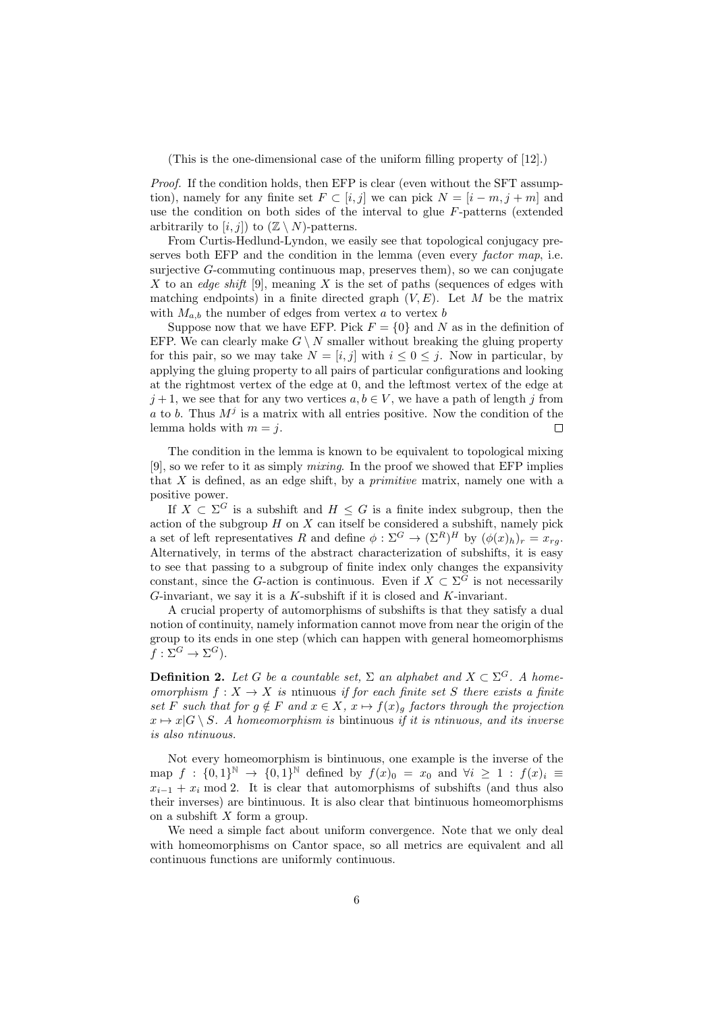(This is the one-dimensional case of the uniform filling property of [12].)

Proof. If the condition holds, then EFP is clear (even without the SFT assumption), namely for any finite set  $F \subset [i, j]$  we can pick  $N = [i - m, j + m]$  and use the condition on both sides of the interval to glue  $F$ -patterns (extended arbitrarily to  $[i, j]$  to  $(\mathbb{Z} \setminus N)$ -patterns.

From Curtis-Hedlund-Lyndon, we easily see that topological conjugacy preserves both EFP and the condition in the lemma (even every *factor map*, i.e. surjective  $G$ -commuting continuous map, preserves them), so we can conjugate X to an edge shift [9], meaning X is the set of paths (sequences of edges with matching endpoints) in a finite directed graph  $(V, E)$ . Let M be the matrix with  $M_{a,b}$  the number of edges from vertex a to vertex b

Suppose now that we have EFP. Pick  $F = \{0\}$  and N as in the definition of EFP. We can clearly make  $G \setminus N$  smaller without breaking the gluing property for this pair, so we may take  $N = [i, j]$  with  $i \leq 0 \leq j$ . Now in particular, by applying the gluing property to all pairs of particular configurations and looking at the rightmost vertex of the edge at 0, and the leftmost vertex of the edge at  $j+1$ , we see that for any two vertices  $a, b \in V$ , we have a path of length j from a to b. Thus  $M^j$  is a matrix with all entries positive. Now the condition of the lemma holds with  $m = j$ .  $\Box$ 

The condition in the lemma is known to be equivalent to topological mixing [9], so we refer to it as simply mixing. In the proof we showed that EFP implies that  $X$  is defined, as an edge shift, by a *primitive* matrix, namely one with a positive power.

If  $X \subset \Sigma^G$  is a subshift and  $H \leq G$  is a finite index subgroup, then the action of the subgroup  $H$  on  $X$  can itself be considered a subshift, namely pick a set of left representatives R and define  $\phi : \Sigma^G \to (\Sigma^R)^H$  by  $(\phi(x)_h)_r = x_{rg}$ . Alternatively, in terms of the abstract characterization of subshifts, it is easy to see that passing to a subgroup of finite index only changes the expansivity constant, since the G-action is continuous. Even if  $X \subset \Sigma^G$  is not necessarily G-invariant, we say it is a  $K$ -subshift if it is closed and  $K$ -invariant.

A crucial property of automorphisms of subshifts is that they satisfy a dual notion of continuity, namely information cannot move from near the origin of the group to its ends in one step (which can happen with general homeomorphisms  $f: \Sigma^G \to \Sigma^G$ ).

**Definition 2.** Let G be a countable set,  $\Sigma$  an alphabet and  $X \subset \Sigma^G$ . A homeomorphism  $f: X \to X$  is ntinuous if for each finite set S there exists a finite set F such that for  $g \notin F$  and  $x \in X$ ,  $x \mapsto f(x)$  factors through the projection  $x \mapsto x|G \setminus S$ . A homeomorphism is bintinuous if it is ntinuous, and its inverse is also ntinuous.

Not every homeomorphism is bintinuous, one example is the inverse of the map  $f : \{0,1\}^{\mathbb{N}} \to \{0,1\}^{\mathbb{N}}$  defined by  $f(x)_0 = x_0$  and  $\forall i \geq 1 : f(x)_i \equiv$  $x_{i-1} + x_i \mod 2$ . It is clear that automorphisms of subshifts (and thus also their inverses) are bintinuous. It is also clear that bintinuous homeomorphisms on a subshift  $X$  form a group.

We need a simple fact about uniform convergence. Note that we only deal with homeomorphisms on Cantor space, so all metrics are equivalent and all continuous functions are uniformly continuous.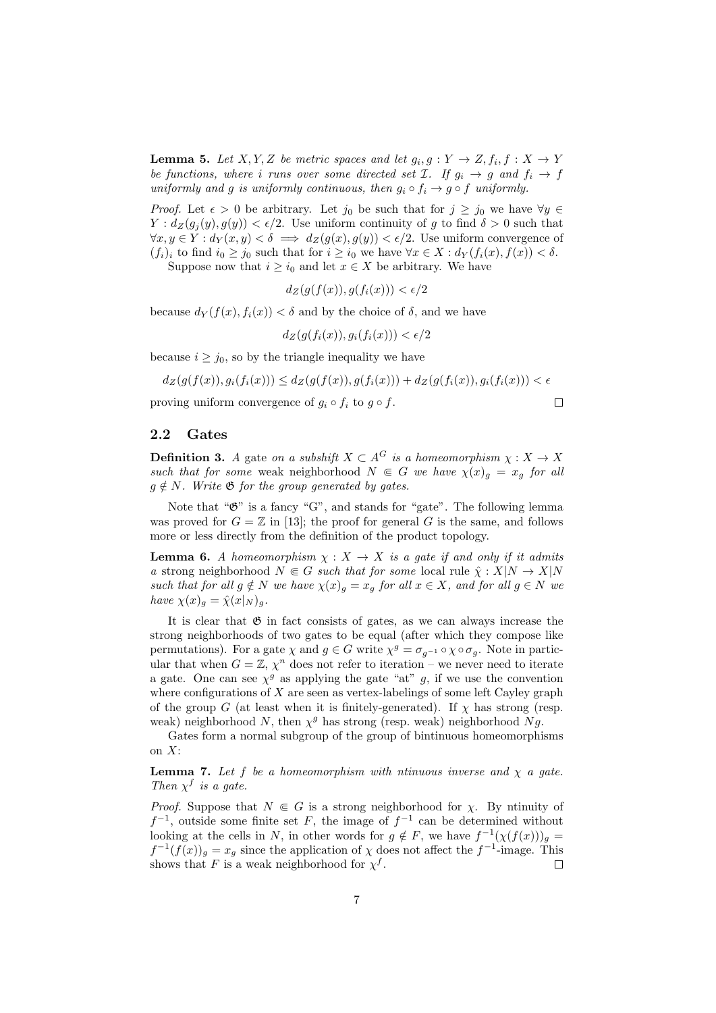**Lemma 5.** Let  $X, Y, Z$  be metric spaces and let  $g_i, g: Y \to Z, f_i, f: X \to Y$ be functions, where i runs over some directed set  $\mathcal{I}$ . If  $g_i \to g$  and  $f_i \to f$ uniformly and g is uniformly continuous, then  $g_i \circ f_i \to g \circ f$  uniformly.

*Proof.* Let  $\epsilon > 0$  be arbitrary. Let  $j_0$  be such that for  $j \geq j_0$  we have  $\forall y \in$  $Y: d_Z(g_j(y), g(y)) < \epsilon/2$ . Use uniform continuity of g to find  $\delta > 0$  such that  $\forall x, y \in Y : d_Y(x, y) < \delta \implies d_Z(g(x), g(y)) < \epsilon/2$ . Use uniform convergence of  $(f_i)_i$  to find  $i_0 \geq j_0$  such that for  $i \geq i_0$  we have  $\forall x \in X : d_Y(f_i(x), f(x)) < \delta$ .

Suppose now that  $i \geq i_0$  and let  $x \in X$  be arbitrary. We have

$$
d_Z(g(f(x)), g(f_i(x))) < \epsilon/2
$$

because  $d_Y(f(x), f_i(x)) < \delta$  and by the choice of  $\delta$ , and we have

$$
d_Z(g(f_i(x)), g_i(f_i(x))) < \epsilon/2
$$

because  $i \geq j_0$ , so by the triangle inequality we have

$$
d_Z(g(f(x)), g_i(f_i(x))) \leq d_Z(g(f(x)), g(f_i(x))) + d_Z(g(f_i(x)), g_i(f_i(x))) < \epsilon
$$

 $\Box$ 

proving uniform convergence of  $q_i \circ f_i$  to  $q \circ f$ .

#### 2.2 Gates

**Definition 3.** A gate on a subshift  $X \subset A^G$  is a homeomorphism  $\chi : X \to X$ such that for some weak neighborhood  $N \in G$  we have  $\chi(x)_g = x_g$  for all  $g \notin N$ . Write  $\mathfrak{G}$  for the group generated by gates.

Note that " $\mathfrak{G}$ " is a fancy "G", and stands for "gate". The following lemma was proved for  $G = \mathbb{Z}$  in [13]; the proof for general G is the same, and follows more or less directly from the definition of the product topology.

**Lemma 6.** A homeomorphism  $\chi : X \to X$  is a gate if and only if it admits a strong neighborhood  $N \in G$  such that for some local rule  $\hat{\chi} : X|N \to X|N$ such that for all  $g \notin N$  we have  $\chi(x)_g = x_g$  for all  $x \in X$ , and for all  $g \in N$  we have  $\chi(x)_q = \hat{\chi}(x|_N)_q$ .

It is clear that  $\mathfrak G$  in fact consists of gates, as we can always increase the strong neighborhoods of two gates to be equal (after which they compose like permutations). For a gate  $\chi$  and  $g \in G$  write  $\chi^g = \sigma_{g^{-1}} \circ \chi \circ \sigma_g$ . Note in particular that when  $G = \mathbb{Z}, \chi^n$  does not refer to iteration – we never need to iterate a gate. One can see  $\chi^g$  as applying the gate "at" g, if we use the convention where configurations of  $X$  are seen as vertex-labelings of some left Cayley graph of the group G (at least when it is finitely-generated). If  $\chi$  has strong (resp. weak) neighborhood N, then  $\chi^g$  has strong (resp. weak) neighborhood Ng.

Gates form a normal subgroup of the group of bintinuous homeomorphisms on  $X$ :

**Lemma 7.** Let f be a homeomorphism with ntinuous inverse and  $\chi$  a gate. Then  $\chi^f$  is a gate.

*Proof.* Suppose that  $N \in G$  is a strong neighborhood for  $\chi$ . By ntinuity of  $f^{-1}$ , outside some finite set F, the image of  $f^{-1}$  can be determined without looking at the cells in N, in other words for  $g \notin F$ , we have  $f^{-1}(\chi(f(x)))_g =$  $f^{-1}(f(x))_g = x_g$  since the application of  $\chi$  does not affect the  $f^{-1}$ -image. This shows that F is a weak neighborhood for  $\chi^f$ .  $\Box$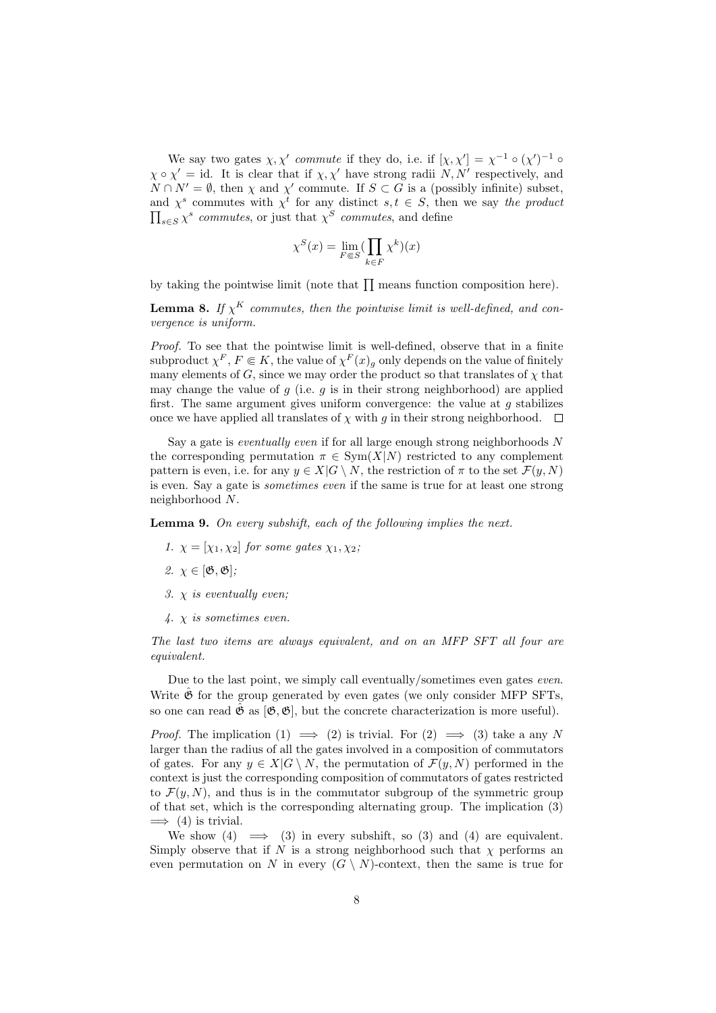We say two gates  $\chi, \chi'$  commute if they do, i.e. if  $[\chi, \chi'] = \chi^{-1} \circ (\chi')^{-1} \circ$  $\chi \circ \chi' = id$ . It is clear that if  $\chi, \chi'$  have strong radii  $N, N'$  respectively, and  $N \cap N' = \emptyset$ , then  $\chi$  and  $\chi'$  commute. If  $S \subset G$  is a (possibly infinite) subset, and  $\chi^s$  commutes with  $\chi^t$  for any distinct  $s, t \in S$ , then we say the product  $\prod_{s \in S} \chi^s$  commutes, or just that  $\chi^S$  commutes, and define

$$
\chi^S(x) = \lim_{F \in S} (\prod_{k \in F} \chi^k)(x)
$$

by taking the pointwise limit (note that  $\prod$  means function composition here).

**Lemma 8.** If  $\chi^K$  commutes, then the pointwise limit is well-defined, and convergence is uniform.

Proof. To see that the pointwise limit is well-defined, observe that in a finite subproduct  $\chi^F, F \in K$ , the value of  $\chi^F(x)$ <sub>g</sub> only depends on the value of finitely many elements of G, since we may order the product so that translates of  $\chi$  that may change the value of  $g$  (i.e.  $g$  is in their strong neighborhood) are applied first. The same argument gives uniform convergence: the value at  $g$  stabilizes once we have applied all translates of  $\chi$  with g in their strong neighborhood.  $\Box$ 

Say a gate is *eventually even* if for all large enough strong neighborhoods N the corresponding permutation  $\pi \in \text{Sym}(X|N)$  restricted to any complement pattern is even, i.e. for any  $y \in X | G \setminus N$ , the restriction of  $\pi$  to the set  $\mathcal{F}(y, N)$ is even. Say a gate is sometimes even if the same is true for at least one strong neighborhood N.

**Lemma 9.** On every subshift, each of the following implies the next.

- 1.  $\chi = [\chi_1, \chi_2]$  for some gates  $\chi_1, \chi_2$ ;
- 2.  $\chi \in [\mathfrak{G}, \mathfrak{G}];$
- 3.  $\chi$  is eventually even;
- $4. \times i$ s sometimes even.

The last two items are always equivalent, and on an MFP SFT all four are equivalent.

Due to the last point, we simply call eventually/sometimes even gates even. Write  $\ddot{\mathfrak{G}}$  for the group generated by even gates (we only consider MFP SFTs, so one can read  $\hat{\mathfrak{G}}$  as  $[\mathfrak{G}, \mathfrak{G}]$ , but the concrete characterization is more useful).

*Proof.* The implication (1)  $\implies$  (2) is trivial. For (2)  $\implies$  (3) take a any N larger than the radius of all the gates involved in a composition of commutators of gates. For any  $y \in X | G \setminus N$ , the permutation of  $\mathcal{F}(y, N)$  performed in the context is just the corresponding composition of commutators of gates restricted to  $\mathcal{F}(y, N)$ , and thus is in the commutator subgroup of the symmetric group of that set, which is the corresponding alternating group. The implication (3)  $\implies$  (4) is trivial.

We show (4)  $\implies$  (3) in every subshift, so (3) and (4) are equivalent. Simply observe that if N is a strong neighborhood such that  $\chi$  performs and even permutation on N in every  $(G \setminus N)$ -context, then the same is true for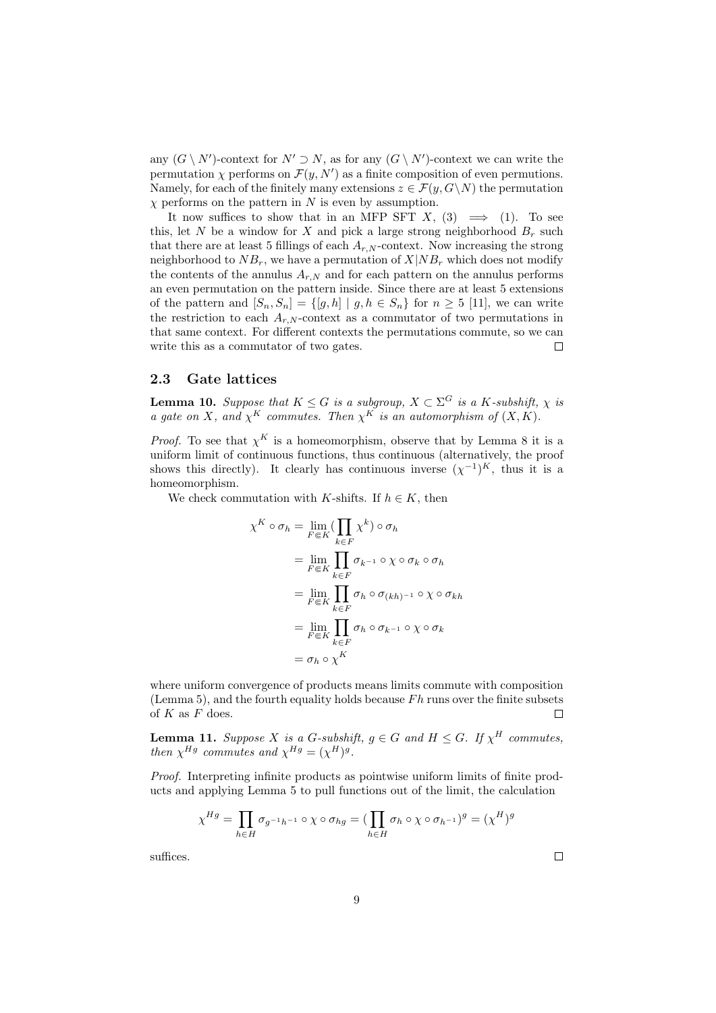any  $(G \setminus N')$ -context for  $N' \supset N$ , as for any  $(G \setminus N')$ -context we can write the permutation  $\chi$  performs on  $\mathcal{F}(y, N')$  as a finite composition of even permutions. Namely, for each of the finitely many extensions  $z \in \mathcal{F}(y, G \backslash N)$  the permutation  $\chi$  performs on the pattern in N is even by assumption.

It now suffices to show that in an MFP SFT X, (3)  $\implies$  (1). To see this, let N be a window for X and pick a large strong neighborhood  $B_r$  such that there are at least 5 fillings of each  $A_{r,N}$ -context. Now increasing the strong neighborhood to  $NB_r$ , we have a permutation of  $X|NB_r$  which does not modify the contents of the annulus  $A_{r,N}$  and for each pattern on the annulus performs an even permutation on the pattern inside. Since there are at least 5 extensions of the pattern and  $[S_n, S_n] = \{ [g, h] | g, h \in S_n \}$  for  $n \geq 5$  [11], we can write the restriction to each  $A_{r,N}$ -context as a commutator of two permutations in that same context. For different contexts the permutations commute, so we can write this as a commutator of two gates.  $\Box$ 

# 2.3 Gate lattices

**Lemma 10.** Suppose that  $K \leq G$  is a subgroup,  $X \subset \Sigma^G$  is a K-subshift,  $\chi$  is a gate on X, and  $\chi^K$  commutes. Then  $\chi^K$  is an automorphism of  $(X, K)$ .

*Proof.* To see that  $\chi^K$  is a homeomorphism, observe that by Lemma 8 it is a uniform limit of continuous functions, thus continuous (alternatively, the proof shows this directly). It clearly has continuous inverse  $(\chi^{-1})^K$ , thus it is a homeomorphism.

We check commutation with K-shifts. If  $h \in K$ , then

$$
\chi^K \circ \sigma_h = \lim_{F \in K} (\prod_{k \in F} \chi^k) \circ \sigma_h
$$
  
= 
$$
\lim_{F \in K} \prod_{k \in F} \sigma_{k^{-1}} \circ \chi \circ \sigma_k \circ \sigma_h
$$
  
= 
$$
\lim_{F \in K} \prod_{k \in F} \sigma_h \circ \sigma_{(kh)^{-1}} \circ \chi \circ \sigma_{kh}
$$
  
= 
$$
\lim_{F \in K} \prod_{k \in F} \sigma_h \circ \sigma_{k^{-1}} \circ \chi \circ \sigma_k
$$
  
= 
$$
\sigma_h \circ \chi^K
$$

where uniform convergence of products means limits commute with composition (Lemma 5), and the fourth equality holds because  $Fh$  runs over the finite subsets of  $K$  as  $\bar{F}$  does. П

**Lemma 11.** Suppose X is a G-subshift,  $g \in G$  and  $H \leq G$ . If  $\chi^H$  commutes, then  $\chi^{Hg}$  commutes and  $\chi^{Hg} = (\chi^H)^g$ .

Proof. Interpreting infinite products as pointwise uniform limits of finite products and applying Lemma 5 to pull functions out of the limit, the calculation

$$
\chi^{Hg} = \prod_{h \in H} \sigma_{g^{-1}h^{-1}} \circ \chi \circ \sigma_{hg} = \left( \prod_{h \in H} \sigma_h \circ \chi \circ \sigma_{h^{-1}} \right)^g = (\chi^H)^g
$$

suffices.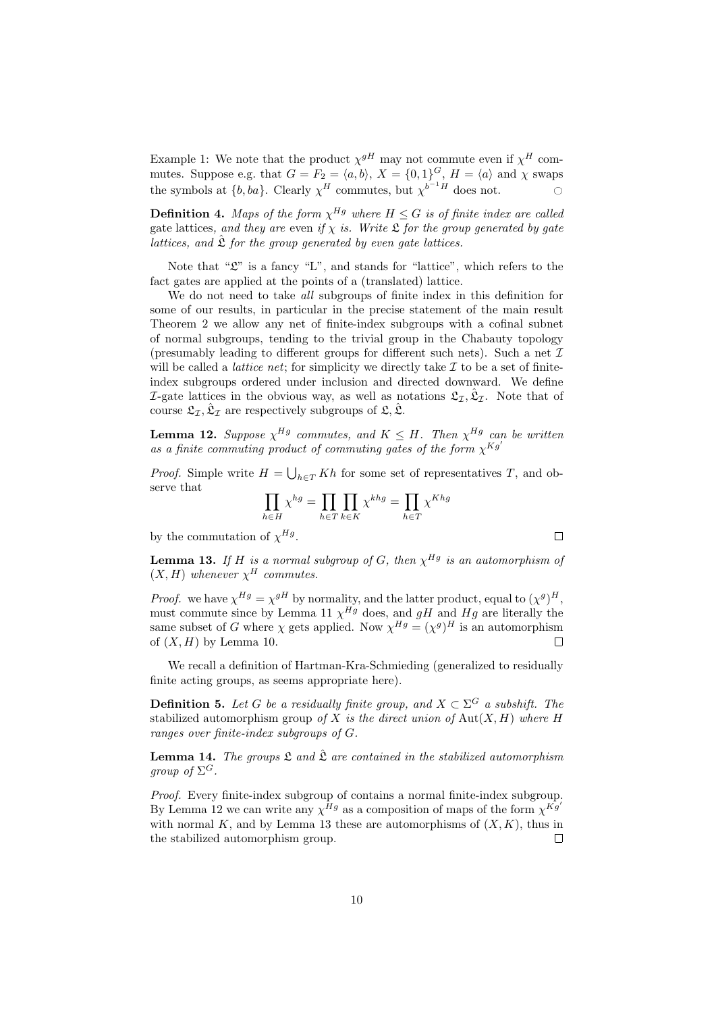Example 1: We note that the product  $\chi^{gH}$  may not commute even if  $\chi^H$  commutes. Suppose e.g. that  $G = F_2 = \langle a, b \rangle$ ,  $X = \{0, 1\}^G$ ,  $H = \langle a \rangle$  and  $\chi$  swaps the symbols at  $\{b, ba\}$ . Clearly  $\chi^H$  commutes, but  $\chi^{b^{-1}H}$  does not.

**Definition 4.** Maps of the form  $\chi^{Hg}$  where  $H \leq G$  is of finite index are called gate lattices, and they are even if  $\chi$  is. Write  $\mathfrak L$  for the group generated by gate lattices, and  $\hat{\mathfrak{L}}$  for the group generated by even gate lattices.

Note that " $\mathfrak{L}$ " is a fancy "L", and stands for "lattice", which refers to the fact gates are applied at the points of a (translated) lattice.

We do not need to take all subgroups of finite index in this definition for some of our results, in particular in the precise statement of the main result Theorem 2 we allow any net of finite-index subgroups with a cofinal subnet of normal subgroups, tending to the trivial group in the Chabauty topology (presumably leading to different groups for different such nets). Such a net  $\mathcal I$ will be called a *lattice net*; for simplicity we directly take  $\mathcal I$  to be a set of finiteindex subgroups ordered under inclusion and directed downward. We define *I*-gate lattices in the obvious way, as well as notations  $\mathfrak{L}_{\mathcal{I}}, \hat{\mathfrak{L}}_{\mathcal{I}}$ . Note that of course  $\mathfrak{L}_{\mathcal{I}}, \hat{\mathfrak{L}}_{\mathcal{I}}$  are respectively subgroups of  $\mathfrak{L}, \hat{\mathfrak{L}}$ .

**Lemma 12.** Suppose  $\chi^{Hg}$  commutes, and  $K \leq H$ . Then  $\chi^{Hg}$  can be written as a finite commuting product of commuting gates of the form  $\chi^{Kg'}$ 

*Proof.* Simple write  $H = \bigcup_{h \in T} Kh$  for some set of representatives T, and observe that

$$
\prod_{h \in H} \chi^{hg} = \prod_{h \in T} \prod_{k \in K} \chi^{khg} = \prod_{h \in T} \chi^{Khg}
$$

by the commutation of  $\chi^{Hg}$ .

**Lemma 13.** If H is a normal subgroup of G, then  $\chi^{Hg}$  is an automorphism of  $(X, H)$  whenever  $\chi^H$  commutes.

*Proof.* we have  $\chi^{Hg} = \chi^{gH}$  by normality, and the latter product, equal to  $(\chi^g)^H$ , must commute since by Lemma 11  $\chi^{Hg}$  does, and gH and Hg are literally the same subset of G where  $\chi$  gets applied. Now  $\chi^{Hg} = (\chi^g)^H$  is an automorphism of  $(X, H)$  by Lemma 10. Г

We recall a definition of Hartman-Kra-Schmieding (generalized to residually finite acting groups, as seems appropriate here).

**Definition 5.** Let G be a residually finite group, and  $X \subset \Sigma^G$  a subshift. The stabilized automorphism group of X is the direct union of  $\text{Aut}(X, H)$  where H ranges over finite-index subgroups of G.

**Lemma 14.** The groups  $\mathfrak L$  and  $\hat{\mathfrak L}$  are contained in the stabilized automorphism group of  $\Sigma^G$ .

Proof. Every finite-index subgroup of contains a normal finite-index subgroup. By Lemma 12 we can write any  $\chi^{\tilde{H}g}$  as a composition of maps of the form  $\chi^{\tilde{K}g'}$ with normal K, and by Lemma 13 these are automorphisms of  $(X, K)$ , thus in the stabilized automorphism group.  $\Box$ 

 $\Box$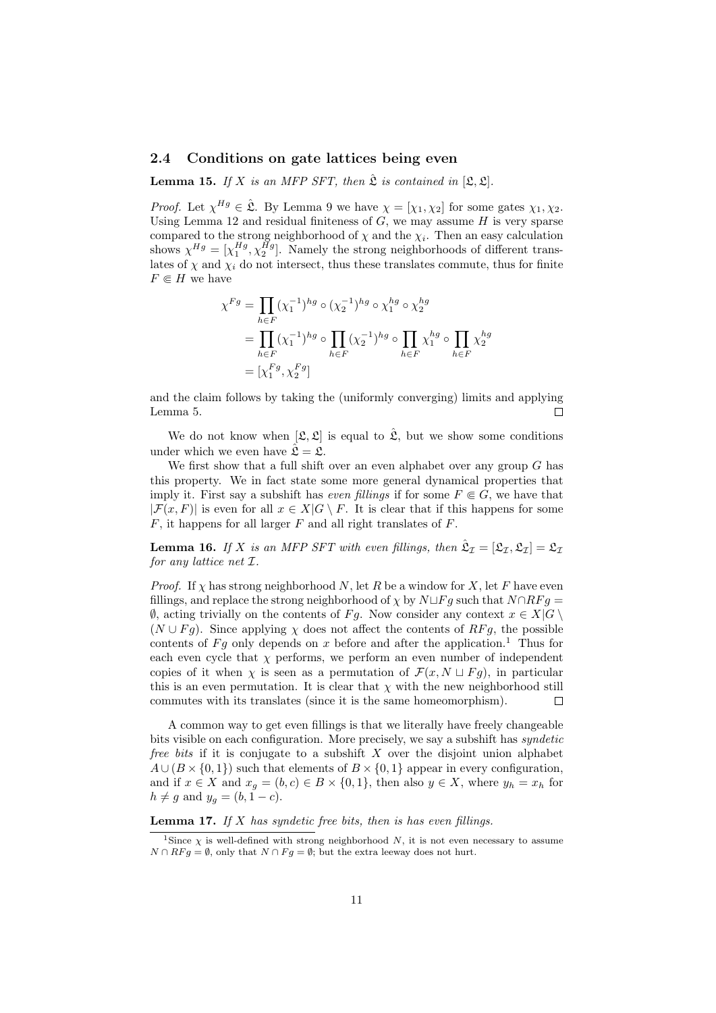### 2.4 Conditions on gate lattices being even

**Lemma 15.** If X is an MFP SFT, then  $\hat{\mathcal{L}}$  is contained in  $[\mathcal{L}, \mathcal{L}]$ .

*Proof.* Let  $\chi^{Hg} \in \hat{\mathfrak{L}}$ . By Lemma 9 we have  $\chi = [\chi_1, \chi_2]$  for some gates  $\chi_1, \chi_2$ . Using Lemma 12 and residual finiteness of  $G$ , we may assume  $H$  is very sparse compared to the strong neighborhood of  $\chi$  and the  $\chi_i$ . Then an easy calculation shows  $\chi^{Hg} = [\chi_1^{Hg}, \chi_2^{\tilde{H}g}]$ . Namely the strong neighborhoods of different translates of  $\chi$  and  $\chi_i$  do not intersect, thus these translates commute, thus for finite  $F \in H$  we have

$$
\chi^{Fg} = \prod_{h \in F} (\chi_1^{-1})^{hg} \circ (\chi_2^{-1})^{hg} \circ \chi_1^{hg} \circ \chi_2^{hg}
$$
  
= 
$$
\prod_{h \in F} (\chi_1^{-1})^{hg} \circ \prod_{h \in F} (\chi_2^{-1})^{hg} \circ \prod_{h \in F} \chi_1^{hg} \circ \prod_{h \in F} \chi_2^{hg}
$$
  
= 
$$
[\chi_1^{Fg}, \chi_2^{Fg}]
$$

and the claim follows by taking the (uniformly converging) limits and applying Lemma 5.  $\Box$ 

We do not know when  $[\mathfrak{L}, \mathfrak{L}]$  is equal to  $\hat{\mathfrak{L}}$ , but we show some conditions under which we even have  $\hat{\mathfrak{L}} = \mathfrak{L}$ .

We first show that a full shift over an even alphabet over any group  $G$  has this property. We in fact state some more general dynamical properties that imply it. First say a subshift has *even fillings* if for some  $F \in G$ , we have that  $|\mathcal{F}(x, F)|$  is even for all  $x \in X|G \setminus F$ . It is clear that if this happens for some  $F$ , it happens for all larger  $F$  and all right translates of  $F$ .

**Lemma 16.** If X is an MFP SFT with even fillings, then  $\hat{\mathfrak{L}}_{\mathcal{I}} = [\mathfrak{L}_{\mathcal{I}}, \mathfrak{L}_{\mathcal{I}}] = \mathfrak{L}_{\mathcal{I}}$ for any lattice net I.

*Proof.* If  $\chi$  has strong neighborhood N, let R be a window for X, let F have even fillings, and replace the strong neighborhood of  $\chi$  by  $N \Box F g$  such that  $N \cap RF g =$  $\emptyset$ , acting trivially on the contents of Fg. Now consider any context  $x \in X|G \setminus \emptyset$  $(N \cup Fg)$ . Since applying  $\chi$  does not affect the contents of RFg, the possible contents of Fg only depends on x before and after the application.<sup>1</sup> Thus for each even cycle that  $\chi$  performs, we perform an even number of independent copies of it when  $\chi$  is seen as a permutation of  $\mathcal{F}(x, N \sqcup Fg)$ , in particular this is an even permutation. It is clear that  $\chi$  with the new neighborhood still commutes with its translates (since it is the same homeomorphism).  $\Box$ 

A common way to get even fillings is that we literally have freely changeable bits visible on each configuration. More precisely, we say a subshift has *syndetic free bits* if it is conjugate to a subshift  $X$  over the disjoint union alphabet  $A\cup (B\times\{0,1\})$  such that elements of  $B\times\{0,1\}$  appear in every configuration, and if  $x \in X$  and  $x_q = (b, c) \in B \times \{0, 1\}$ , then also  $y \in X$ , where  $y_h = x_h$  for  $h \neq g$  and  $y_g = (b, 1 - c)$ .

#### **Lemma 17.** If  $X$  has syndetic free bits, then is has even fillings.

<sup>&</sup>lt;sup>1</sup>Since  $\chi$  is well-defined with strong neighborhood N, it is not even necessary to assume  $N \cap RFg = \emptyset$ , only that  $N \cap Fg = \emptyset$ ; but the extra leeway does not hurt.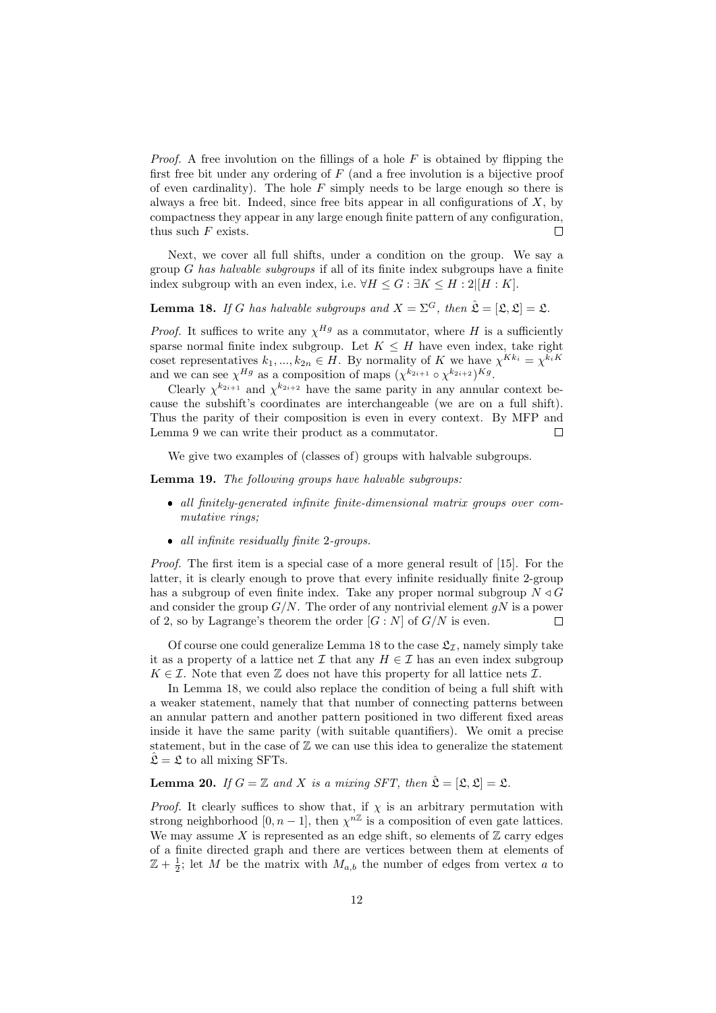*Proof.* A free involution on the fillings of a hole  $F$  is obtained by flipping the first free bit under any ordering of  $F$  (and a free involution is a bijective proof of even cardinality). The hole  $F$  simply needs to be large enough so there is always a free bit. Indeed, since free bits appear in all configurations of  $X$ , by compactness they appear in any large enough finite pattern of any configuration, thus such  $F$  exists.  $\Box$ 

Next, we cover all full shifts, under a condition on the group. We say a group G has halvable subgroups if all of its finite index subgroups have a finite index subgroup with an even index, i.e.  $\forall H \leq G : \exists K \leq H : 2||H : K|$ .

**Lemma 18.** If G has halvable subgroups and  $X = \Sigma^G$ , then  $\hat{\mathcal{L}} = [\mathcal{L}, \mathcal{L}] = \mathcal{L}$ .

*Proof.* It suffices to write any  $\chi^{Hg}$  as a commutator, where H is a sufficiently sparse normal finite index subgroup. Let  $K \leq H$  have even index, take right coset representatives  $k_1, ..., k_{2n} \in H$ . By normality of K we have  $\chi^{Kk_i} = \chi^{k_i K}$ and we can see  $\chi^{Hg}$  as a composition of maps  $(\chi^{k_{2i+1}} \circ \chi^{k_{2i+2}})^{Kg}$ .

Clearly  $\chi^{k_{2i+1}}$  and  $\chi^{k_{2i+2}}$  have the same parity in any annular context because the subshift's coordinates are interchangeable (we are on a full shift). Thus the parity of their composition is even in every context. By MFP and Lemma 9 we can write their product as a commutator.  $\Box$ 

We give two examples of (classes of) groups with halvable subgroups.

Lemma 19. The following groups have halvable subgroups:

- all finitely-generated infinite finite-dimensional matrix groups over commutative rings;
- all infinite residually finite 2-groups.

Proof. The first item is a special case of a more general result of [15]. For the latter, it is clearly enough to prove that every infinite residually finite 2-group has a subgroup of even finite index. Take any proper normal subgroup  $N \triangleleft G$ and consider the group  $G/N$ . The order of any nontrivial element  $qN$  is a power of 2, so by Lagrange's theorem the order  $[G: N]$  of  $G/N$  is even.  $\Box$ 

Of course one could generalize Lemma 18 to the case  $\mathfrak{L}_{\mathcal{I}}$ , namely simply take it as a property of a lattice net  $\mathcal I$  that any  $H \in \mathcal I$  has an even index subgroup  $K \in \mathcal{I}$ . Note that even  $\mathbb Z$  does not have this property for all lattice nets  $\mathcal{I}$ .

In Lemma 18, we could also replace the condition of being a full shift with a weaker statement, namely that that number of connecting patterns between an annular pattern and another pattern positioned in two different fixed areas inside it have the same parity (with suitable quantifiers). We omit a precise statement, but in the case of  $\mathbb Z$  we can use this idea to generalize the statement  $\hat{\mathfrak{L}} = \mathfrak{L}$  to all mixing SFTs.

# **Lemma 20.** If  $G = \mathbb{Z}$  and X is a mixing SFT, then  $\hat{\mathcal{L}} = [\mathcal{L}, \mathcal{L}] = \mathcal{L}$ .

*Proof.* It clearly suffices to show that, if  $\chi$  is an arbitrary permutation with strong neighborhood [0, n – 1], then  $\chi^{n\mathbb{Z}}$  is a composition of even gate lattices. We may assume X is represented as an edge shift, so elements of  $\mathbb Z$  carry edges of a finite directed graph and there are vertices between them at elements of  $\mathbb{Z} + \frac{1}{2}$ ; let M be the matrix with  $M_{a,b}$  the number of edges from vertex a to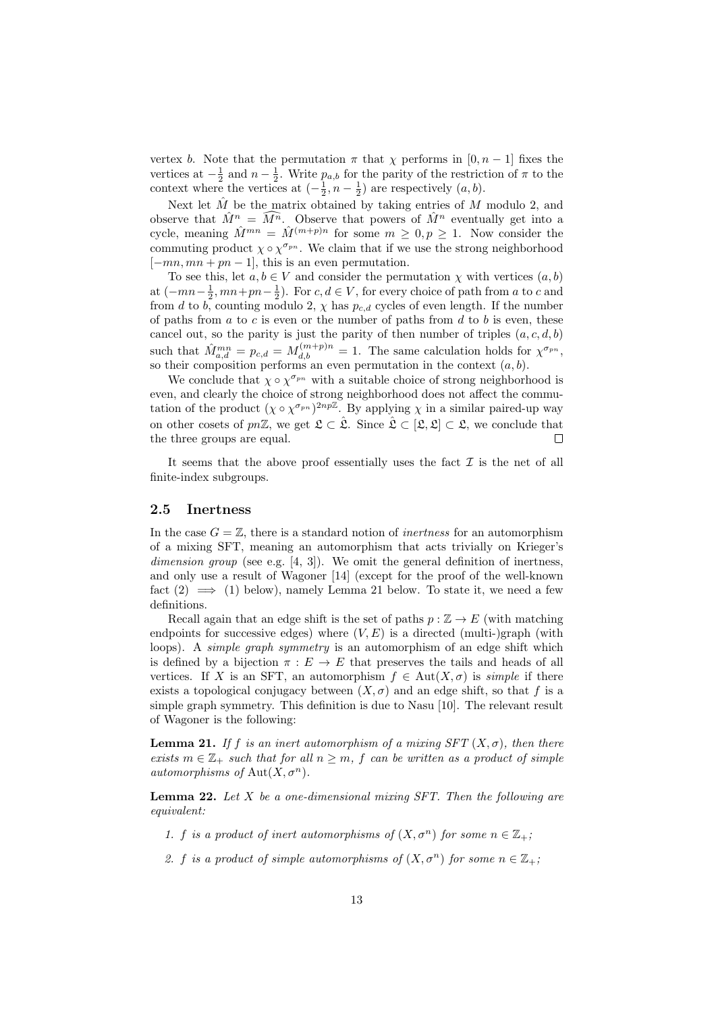vertex b. Note that the permutation  $\pi$  that  $\chi$  performs in [0, n – 1] fixes the vertices at  $-\frac{1}{2}$  and  $n-\frac{1}{2}$ . Write  $p_{a,b}$  for the parity of the restriction of  $\pi$  to the context where the vertices at  $\left(-\frac{1}{2}, n-\frac{1}{2}\right)$  are respectively  $(a, b)$ .

Next let  $\hat{M}$  be the matrix obtained by taking entries of M modulo 2, and observe that  $\hat{M}^n = \widehat{M^n}$ . Observe that powers of  $\hat{M}^n$  eventually get into a cycle, meaning  $\hat{M}^{mn} = \hat{M}^{(m+p)n}$  for some  $m \geq 0, p \geq 1$ . Now consider the commuting product  $\chi \circ \chi^{\sigma_{pn}}$ . We claim that if we use the strong neighborhood  $[-mn, mn + pn - 1]$ , this is an even permutation.

To see this, let  $a, b \in V$  and consider the permutation  $\chi$  with vertices  $(a, b)$ at  $(-mn-\frac{1}{2}, mn+pn-\frac{1}{2})$ . For  $c, d \in V$ , for every choice of path from a to c and from d to b, counting modulo 2,  $\chi$  has  $p_{c,d}$  cycles of even length. If the number of paths from  $a$  to  $c$  is even or the number of paths from  $d$  to  $b$  is even, these cancel out, so the parity is just the parity of then number of triples  $(a, c, d, b)$ such that  $\hat{M}_{a,d}^{mn} = p_{c,d} = M_{d,b}^{(m+p)n} = 1$ . The same calculation holds for  $\chi^{\sigma_{pn}},$ so their composition performs an even permutation in the context  $(a, b)$ .

We conclude that  $\chi \circ \chi^{\sigma_{pn}}$  with a suitable choice of strong neighborhood is even, and clearly the choice of strong neighborhood does not affect the commutation of the product  $(\chi \circ \chi^{\sigma_{pn}})^{2np\mathbb{Z}}$ . By applying  $\chi$  in a similar paired-up way on other cosets of pnZ, we get  $\mathfrak{L} \subset \hat{\mathfrak{L}}$ . Since  $\hat{\mathfrak{L}} \subset [\mathfrak{L}, \mathfrak{L}] \subset \mathfrak{L}$ , we conclude that the three groups are equal.  $\Box$ 

It seems that the above proof essentially uses the fact  $\mathcal I$  is the net of all finite-index subgroups.

# 2.5 Inertness

In the case  $G = \mathbb{Z}$ , there is a standard notion of *inertness* for an automorphism of a mixing SFT, meaning an automorphism that acts trivially on Krieger's dimension group (see e.g. [4, 3]). We omit the general definition of inertness, and only use a result of Wagoner [14] (except for the proof of the well-known fact  $(2) \implies (1)$  below), namely Lemma 21 below. To state it, we need a few definitions.

Recall again that an edge shift is the set of paths  $p : \mathbb{Z} \to E$  (with matching endpoints for successive edges) where  $(V, E)$  is a directed (multi-)graph (with loops). A *simple graph symmetry* is an automorphism of an edge shift which is defined by a bijection  $\pi : E \to E$  that preserves the tails and heads of all vertices. If X is an SFT, an automorphism  $f \in Aut(X, \sigma)$  is *simple* if there exists a topological conjugacy between  $(X, \sigma)$  and an edge shift, so that f is a simple graph symmetry. This definition is due to Nasu [10]. The relevant result of Wagoner is the following:

**Lemma 21.** If f is an inert automorphism of a mixing  $SFT(X, \sigma)$ , then there exists  $m \in \mathbb{Z}_+$  such that for all  $n \geq m$ , f can be written as a product of simple automorphisms of Aut $(X, \sigma^n)$ .

**Lemma 22.** Let  $X$  be a one-dimensional mixing SFT. Then the following are equivalent:

- 1. f is a product of inert automorphisms of  $(X, \sigma^n)$  for some  $n \in \mathbb{Z}_+$ ;
- 2. f is a product of simple automorphisms of  $(X, \sigma^n)$  for some  $n \in \mathbb{Z}_+$ ;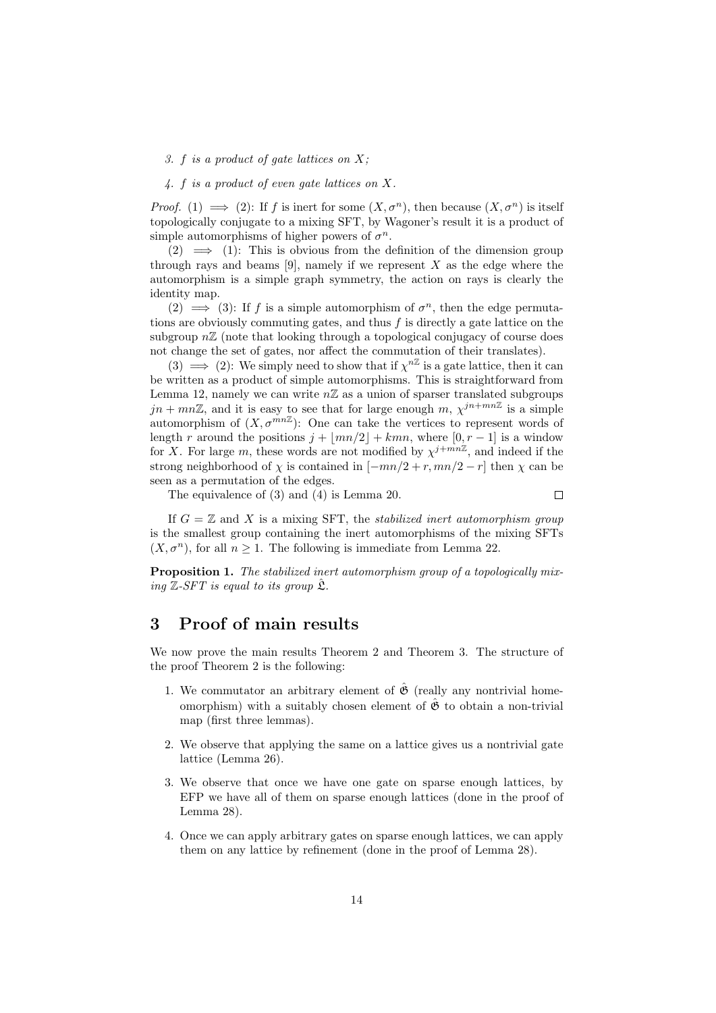#### 3. f is a product of gate lattices on X;

### 4. f is a product of even gate lattices on X.

*Proof.* (1)  $\implies$  (2): If f is inert for some  $(X, \sigma^n)$ , then because  $(X, \sigma^n)$  is itself topologically conjugate to a mixing SFT, by Wagoner's result it is a product of simple automorphisms of higher powers of  $\sigma^n$ .

 $(2) \implies (1)$ : This is obvious from the definition of the dimension group through rays and beams  $[9]$ , namely if we represent X as the edge where the automorphism is a simple graph symmetry, the action on rays is clearly the identity map.

(2)  $\implies$  (3): If f is a simple automorphism of  $\sigma^n$ , then the edge permutations are obviously commuting gates, and thus  $f$  is directly a gate lattice on the subgroup  $n\mathbb{Z}$  (note that looking through a topological conjugacy of course does not change the set of gates, nor affect the commutation of their translates).

(3)  $\implies$  (2): We simply need to show that if  $\chi^{n\mathbb{Z}}$  is a gate lattice, then it can be written as a product of simple automorphisms. This is straightforward from Lemma 12, namely we can write  $n\mathbb{Z}$  as a union of sparser translated subgroups  $jn + mn\mathbb{Z}$ , and it is easy to see that for large enough  $m, \chi^{jn + mn\mathbb{Z}}$  is a simple automorphism of  $(X, \sigma^{mn}\mathbb{Z})$ : One can take the vertices to represent words of length r around the positions  $j + |mn/2| + kmn$ , where  $[0, r - 1]$  is a window for X. For large m, these words are not modified by  $\chi^{j+mn\mathbb{Z}}$ , and indeed if the strong neighborhood of  $\chi$  is contained in  $[-mn/2 + r, mn/2 - r]$  then  $\chi$  can be seen as a permutation of the edges.

The equivalence of (3) and (4) is Lemma 20.

 $\Box$ 

If  $G = \mathbb{Z}$  and X is a mixing SFT, the *stabilized inert automorphism group* is the smallest group containing the inert automorphisms of the mixing SFTs  $(X, \sigma^n)$ , for all  $n \geq 1$ . The following is immediate from Lemma 22.

Proposition 1. The stabilized inert automorphism group of a topologically mixing  $\mathbb{Z}\text{-}SFT$  is equal to its group  $\mathfrak{L}$ .

# 3 Proof of main results

We now prove the main results Theorem 2 and Theorem 3. The structure of the proof Theorem 2 is the following:

- 1. We commutator an arbitrary element of  $\hat{\mathfrak{G}}$  (really any nontrivial homeomorphism) with a suitably chosen element of  $\hat{\mathfrak{G}}$  to obtain a non-trivial map (first three lemmas).
- 2. We observe that applying the same on a lattice gives us a nontrivial gate lattice (Lemma 26).
- 3. We observe that once we have one gate on sparse enough lattices, by EFP we have all of them on sparse enough lattices (done in the proof of Lemma 28).
- 4. Once we can apply arbitrary gates on sparse enough lattices, we can apply them on any lattice by refinement (done in the proof of Lemma 28).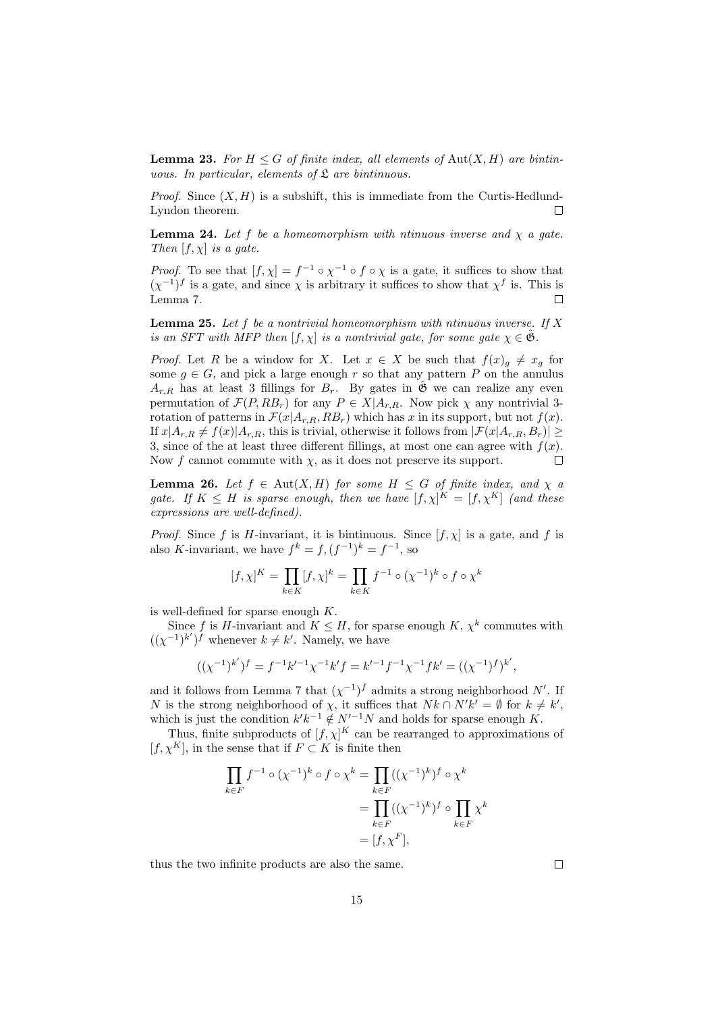**Lemma 23.** For  $H \leq G$  of finite index, all elements of Aut $(X, H)$  are bintinuous. In particular, elements of  $\mathfrak L$  are bintinuous.

*Proof.* Since  $(X, H)$  is a subshift, this is immediate from the Curtis-Hedlund-Lyndon theorem.  $\Box$ 

**Lemma 24.** Let f be a homeomorphism with ntinuous inverse and  $\chi$  a gate. Then  $[f, \chi]$  is a gate.

*Proof.* To see that  $[f, \chi] = f^{-1} \circ \chi^{-1} \circ f \circ \chi$  is a gate, it suffices to show that  $(\chi^{-1})^f$  is a gate, and since  $\chi$  is arbitrary it suffices to show that  $\chi^f$  is. This is Lemma 7.  $\Box$ 

**Lemma 25.** Let f be a nontrivial homeomorphism with ntinuous inverse. If X is an SFT with MFP then  $[f, \chi]$  is a nontrivial gate, for some gate  $\chi \in \mathfrak{G}$ .

*Proof.* Let R be a window for X. Let  $x \in X$  be such that  $f(x)g \neq x_g$  for some  $g \in G$ , and pick a large enough r so that any pattern P on the annulus  $A_{r,R}$  has at least 3 fillings for  $B_r$ . By gates in  $\hat{\mathfrak{G}}$  we can realize any even permutation of  $\mathcal{F}(P, RB_r)$  for any  $P \in X|A_{r,R}$ . Now pick  $\chi$  any nontrivial 3rotation of patterns in  $\mathcal{F}(x|A_{r,R}, RB_r)$  which has x in its support, but not  $f(x)$ . If  $x|A_{r,R} \neq f(x)|A_{r,R}$ , this is trivial, otherwise it follows from  $|\mathcal{F}(x|A_{r,R}, B_r)| \ge$ 3, since of the at least three different fillings, at most one can agree with  $f(x)$ .  $\Box$ Now f cannot commute with  $\chi$ , as it does not preserve its support.

**Lemma 26.** Let  $f \in Aut(X, H)$  for some  $H \leq G$  of finite index, and  $\chi$  a gate. If  $K \leq H$  is sparse enough, then we have  $[f,\chi]^K = [f,\chi^K]$  (and these expressions are well-defined).

*Proof.* Since f is H-invariant, it is bintinuous. Since  $[f, \chi]$  is a gate, and f is also K-invariant, we have  $f^k = f$ ,  $(f^{-1})^k = f^{-1}$ , so

$$
[f,\chi]^K=\prod_{k\in K} [f,\chi]^k=\prod_{k\in K} f^{-1}\circ (\chi^{-1})^k\circ f\circ \chi^k
$$

is well-defined for sparse enough  $K$ .

Since f is H-invariant and  $K \leq H$ , for sparse enough K,  $\chi^k$  commutes with  $((\chi^{-1})^{k'})^f$  whenever  $k \neq k'$ . Namely, we have

$$
((\chi^{-1})^{k'})^f = f^{-1}k'^{-1}\chi^{-1}k'f = k'^{-1}f^{-1}\chi^{-1}fk' = ((\chi^{-1})^f)^{k'},
$$

and it follows from Lemma 7 that  $(\chi^{-1})^f$  admits a strong neighborhood N'. If N is the strong neighborhood of  $\chi$ , it suffices that  $Nk \cap N'k' = \emptyset$  for  $k \neq k'$ , which is just the condition  $k'k^{-1} \notin N'^{-1}N$  and holds for sparse enough K.

Thus, finite subproducts of  $[f, \chi]^K$  can be rearranged to approximations of  $[f, \chi^K]$ , in the sense that if  $F \subset K$  is finite then

$$
\prod_{k \in F} f^{-1} \circ (\chi^{-1})^k \circ f \circ \chi^k = \prod_{k \in F} ((\chi^{-1})^k)^f \circ \chi^k
$$

$$
= \prod_{k \in F} ((\chi^{-1})^k)^f \circ \prod_{k \in F} \chi^k
$$

$$
= [f, \chi^F],
$$

thus the two infinite products are also the same.

 $\Box$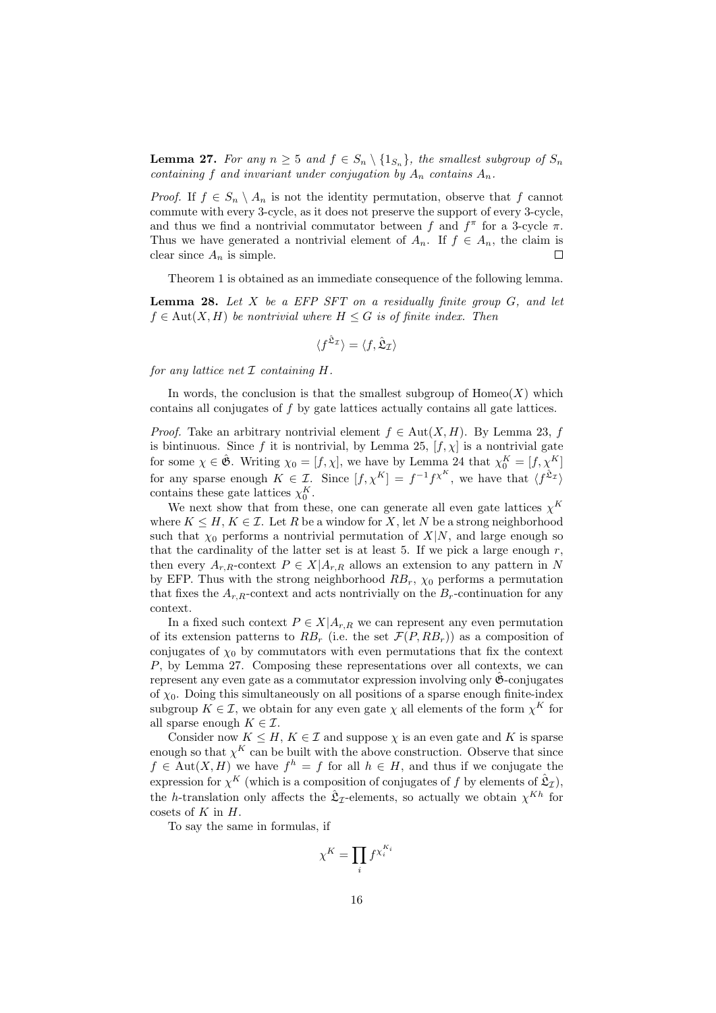**Lemma 27.** For any  $n \geq 5$  and  $f \in S_n \setminus \{1_{S_n}\}\$ , the smallest subgroup of  $S_n$ containing f and invariant under conjugation by  $A_n$  contains  $A_n$ .

*Proof.* If  $f \in S_n \setminus A_n$  is not the identity permutation, observe that f cannot commute with every 3-cycle, as it does not preserve the support of every 3-cycle, and thus we find a nontrivial commutator between f and  $f^{\pi}$  for a 3-cycle  $\pi$ . Thus we have generated a nontrivial element of  $A_n$ . If  $f \in A_n$ , the claim is clear since  $A_n$  is simple. Г

Theorem 1 is obtained as an immediate consequence of the following lemma.

**Lemma 28.** Let  $X$  be a EFP SFT on a residually finite group  $G$ , and let  $f \in Aut(X, H)$  be nontrivial where  $H \leq G$  is of finite index. Then

$$
\langle f^{\hat{\mathfrak{L}}_{\mathcal{I}}}\rangle = \langle f, \hat{\mathfrak{L}}_{\mathcal{I}}\rangle
$$

for any lattice net  $\mathcal I$  containing  $H$ .

In words, the conclusion is that the smallest subgroup of  $\text{Homeo}(X)$  which contains all conjugates of f by gate lattices actually contains all gate lattices.

*Proof.* Take an arbitrary nontrivial element  $f \in Aut(X, H)$ . By Lemma 23, f is bintinuous. Since f it is nontrivial, by Lemma 25,  $[f, \chi]$  is a nontrivial gate for some  $\chi \in \hat{\mathfrak{G}}$ . Writing  $\chi_0 = [f, \chi]$ , we have by Lemma 24 that  $\chi_0^K = [f, \chi^K]$ for any sparse enough  $K \in \mathcal{I}$ . Since  $[f, \chi^K] = f^{-1} f^{\chi^K}$ , we have that  $\langle f^{\hat{\mathfrak{L}}_{\mathcal{I}}} \rangle$ contains these gate lattices  $\chi_0^K$ .

We next show that from these, one can generate all even gate lattices  $\chi^K$ where  $K \leq H, K \in \mathcal{I}$ . Let R be a window for X, let N be a strong neighborhood such that  $\chi_0$  performs a nontrivial permutation of  $X|N$ , and large enough so that the cardinality of the latter set is at least 5. If we pick a large enough  $r$ , then every  $A_{r,R}$ -context  $P \in X | A_{r,R}$  allows an extension to any pattern in N by EFP. Thus with the strong neighborhood  $RB_r$ ,  $\chi_0$  performs a permutation that fixes the  $A_{r,R}$ -context and acts nontrivially on the  $B_r$ -continuation for any context.

In a fixed such context  $P \in X | A_{r,R}$  we can represent any even permutation of its extension patterns to  $RB_r$  (i.e. the set  $\mathcal{F}(P, RB_r)$ ) as a composition of conjugates of  $\chi_0$  by commutators with even permutations that fix the context P, by Lemma 27. Composing these representations over all contexts, we can represent any even gate as a commutator expression involving only  $\mathfrak{G}$ -conjugates of  $\chi_0$ . Doing this simultaneously on all positions of a sparse enough finite-index subgroup  $K \in \mathcal{I}$ , we obtain for any even gate  $\chi$  all elements of the form  $\chi^K$  for all sparse enough  $K \in \mathcal{I}$ .

Consider now  $K \leq H, K \in \mathcal{I}$  and suppose  $\chi$  is an even gate and K is sparse enough so that  $\chi^K$  can be built with the above construction. Observe that since  $f \in Aut(X, H)$  we have  $f^h = f$  for all  $h \in H$ , and thus if we conjugate the expression for  $\chi^K$  (which is a composition of conjugates of f by elements of  $\hat{\mathfrak{L}}_{\mathcal{I}}$ ), the h-translation only affects the  $\hat{\mathfrak{L}}_I$ -elements, so actually we obtain  $\chi^{Kh}$  for cosets of  $K$  in  $H$ .

To say the same in formulas, if

$$
\chi^K=\prod_i f^{\chi_i^{K_i}}
$$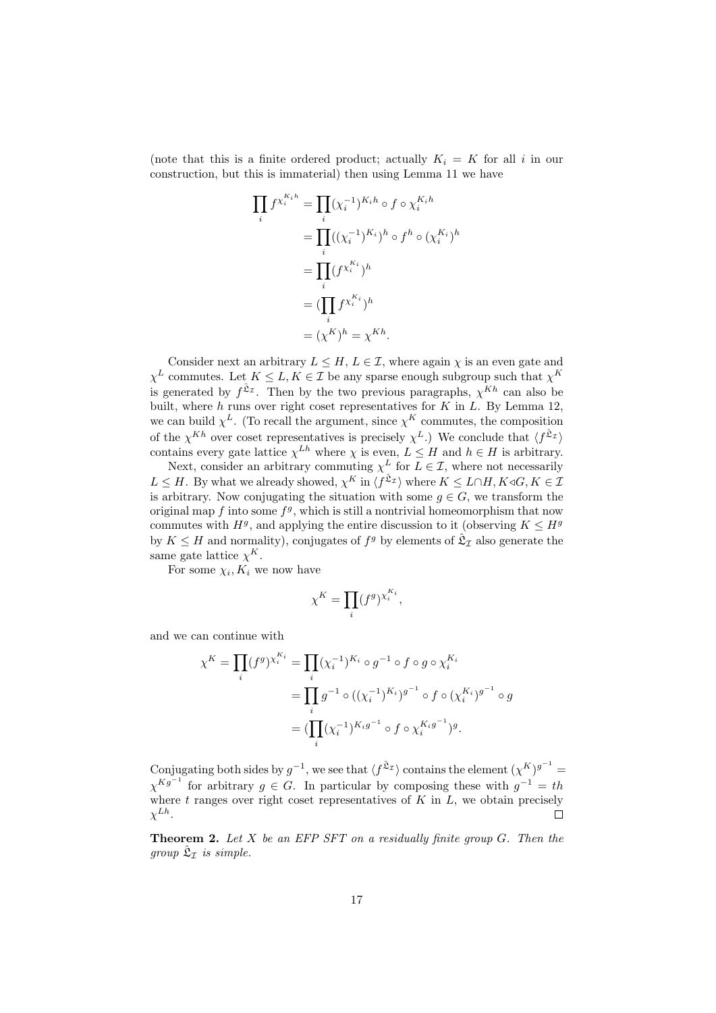(note that this is a finite ordered product; actually  $K_i = K$  for all i in our construction, but this is immaterial) then using Lemma 11 we have

$$
\prod_{i} f^{X_i^{K_i h}} = \prod_{i} (\chi_i^{-1})^{K_i h} \circ f \circ \chi_i^{K_i h}
$$
\n
$$
= \prod_{i} ((\chi_i^{-1})^{K_i})^h \circ f^h \circ (\chi_i^{K_i})^h
$$
\n
$$
= \prod_{i} (f^{X_i^{K_i}})^h
$$
\n
$$
= (\prod_i f^{X_i^{K_i}})^h
$$
\n
$$
= (\chi^K)^h = \chi^{Kh}.
$$

Consider next an arbitrary  $L \leq H$ ,  $L \in \mathcal{I}$ , where again  $\chi$  is an even gate and  $\chi^L$  commutes. Let  $K \leq L, K \in \mathcal{I}$  be any sparse enough subgroup such that  $\chi^K$ is generated by  $f^{\hat{\mathfrak{L}}_m}$ . Then by the two previous paragraphs,  $\chi^{Kh}$  can also be built, where h runs over right coset representatives for  $K$  in  $L$ . By Lemma 12, we can build  $\chi^L$ . (To recall the argument, since  $\chi^K$  commutes, the composition of the  $\chi^{Kh}$  over coset representatives is precisely  $\chi^L$ .) We conclude that  $\langle f^{\hat{\mathfrak{L}}_Z} \rangle$ contains every gate lattice  $\chi^{Lh}$  where  $\chi$  is even,  $L \leq H$  and  $h \in H$  is arbitrary.

Next, consider an arbitrary commuting  $\chi^L$  for  $L \in \mathcal{I}$ , where not necessarily  $L \leq H$ . By what we already showed,  $\chi^K$  in  $\langle f^{\hat{\mathfrak{L}}_{\mathcal{I}}} \rangle$  where  $K \leq L \cap H$ ,  $K \triangleleft G$ ,  $K \in \mathcal{I}$ is arbitrary. Now conjugating the situation with some  $g \in G$ , we transform the original map  $f$  into some  $f<sup>g</sup>$ , which is still a nontrivial homeomorphism that now commutes with  $H<sup>g</sup>$ , and applying the entire discussion to it (observing  $K \leq H<sup>g</sup>$ by  $K \leq H$  and normality), conjugates of  $f<sup>g</sup>$  by elements of  $\hat{\mathfrak{L}}_{\mathcal{I}}$  also generate the same gate lattice  $\chi^K$ .

For some  $\chi_i, K_i$  we now have

$$
\chi^K=\prod_i (f^g)^{\chi_i^{K_i}},
$$

and we can continue with

$$
\chi^{K} = \prod_{i} (f^{g})^{\chi_{i}^{K_{i}}} = \prod_{i} (\chi_{i}^{-1})^{K_{i}} \circ g^{-1} \circ f \circ g \circ \chi_{i}^{K_{i}}
$$
  
= 
$$
\prod_{i} g^{-1} \circ ((\chi_{i}^{-1})^{K_{i}})^{g^{-1}} \circ f \circ (\chi_{i}^{K_{i}})^{g^{-1}} \circ g
$$
  
= 
$$
(\prod_{i} (\chi_{i}^{-1})^{K_{i}g^{-1}} \circ f \circ \chi_{i}^{K_{i}g^{-1}})^{g}.
$$

Conjugating both sides by  $g^{-1}$ , we see that  $\langle f^{\hat{\mathfrak{L}}_x} \rangle$  contains the element  $(\chi^K)^{g^{-1}} =$  $\chi^{Kg^{-1}}$  for arbitrary  $g \in G$ . In particular by composing these with  $g^{-1} = th$ where  $t$  ranges over right coset representatives of  $K$  in  $L$ , we obtain precisely  $\chi^{Lh}.$  $\Box$ 

**Theorem 2.** Let  $X$  be an EFP SFT on a residually finite group  $G$ . Then the group  $\hat{\mathfrak{L}}_{\mathcal{I}}$  is simple.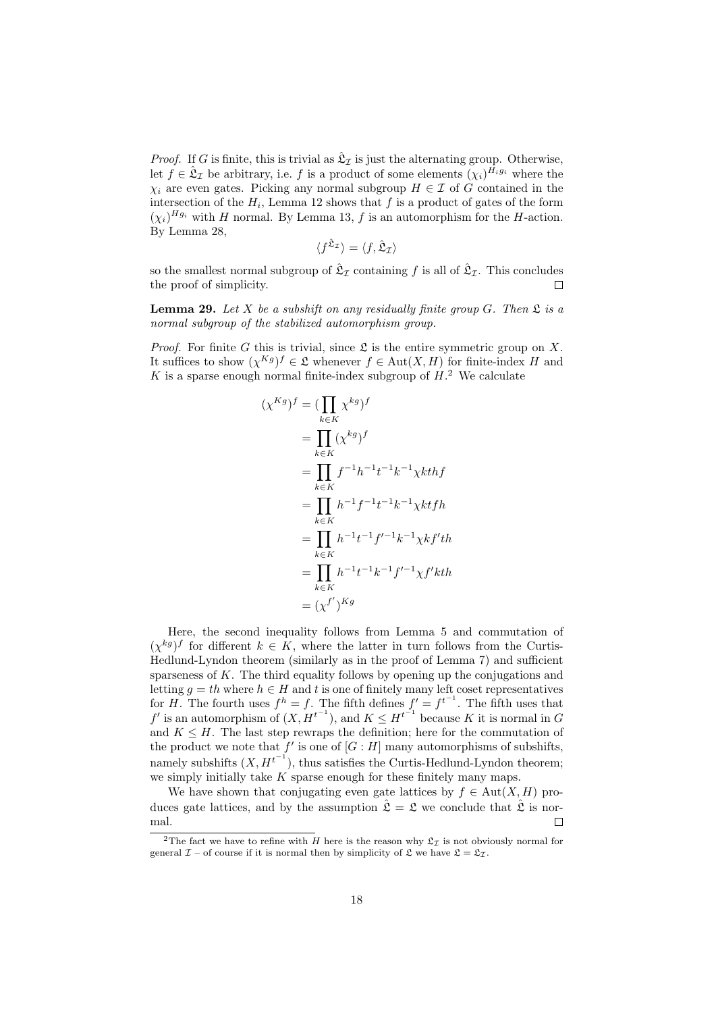*Proof.* If G is finite, this is trivial as  $\hat{\mathfrak{L}}_{\mathcal{I}}$  is just the alternating group. Otherwise, let  $f \in \hat{\mathfrak{L}}_I$  be arbitrary, i.e. f is a product of some elements  $(\chi_i)^{\tilde{H}_i g_i}$  where the  $\chi_i$  are even gates. Picking any normal subgroup  $H \in \mathcal{I}$  of G contained in the intersection of the  $H_i$ , Lemma 12 shows that f is a product of gates of the form  $(\chi_i)^{Hg_i}$  with H normal. By Lemma 13, f is an automorphism for the H-action. By Lemma 28,

$$
\langle f^{\hat{\mathfrak{L}}_{\mathcal{I}}}\rangle = \langle f, \hat{\mathfrak{L}}_{\mathcal{I}}\rangle
$$

so the smallest normal subgroup of  $\hat{\mathfrak{L}}_{\mathcal{I}}$  containing f is all of  $\hat{\mathfrak{L}}_{\mathcal{I}}$ . This concludes the proof of simplicity. П

**Lemma 29.** Let X be a subshift on any residually finite group G. Then  $\mathfrak{L}$  is a normal subgroup of the stabilized automorphism group.

*Proof.* For finite G this is trivial, since  $\mathfrak L$  is the entire symmetric group on X. It suffices to show  $(\chi^{Kg})^f \in \mathfrak{L}$  whenever  $f \in \text{Aut}(X, H)$  for finite-index H and K is a sparse enough normal finite-index subgroup of  $H<sup>2</sup>$ . We calculate

$$
(\chi^{Kg})^f = (\prod_{k \in K} \chi^{kg})^f
$$
  
= 
$$
\prod_{k \in K} (\chi^{kg})^f
$$
  
= 
$$
\prod_{k \in K} f^{-1}h^{-1}t^{-1}k^{-1}\chi kthf
$$
  
= 
$$
\prod_{k \in K} h^{-1}f^{-1}t^{-1}k^{-1}\chi ktfh
$$
  
= 
$$
\prod_{k \in K} h^{-1}t^{-1}f'^{-1}k^{-1}\chi kf'th
$$
  
= 
$$
\prod_{k \in K} h^{-1}t^{-1}k^{-1}f'^{-1}\chi f'kth
$$
  
= 
$$
(\chi^{f'})^{Kg}
$$

Here, the second inequality follows from Lemma 5 and commutation of  $(\chi^{kg})^f$  for different  $k \in K$ , where the latter in turn follows from the Curtis-Hedlund-Lyndon theorem (similarly as in the proof of Lemma 7) and sufficient sparseness of  $K$ . The third equality follows by opening up the conjugations and letting  $g = th$  where  $h \in H$  and t is one of finitely many left coset representatives for H. The fourth uses  $f^h = f$ . The fifth defines  $f' = f^{t^{-1}}$ . The fifth uses that f' is an automorphism of  $(X, H^{t^{-1}})$ , and  $K \leq H^{t^{-1}}$  because K it is normal in G and  $K \leq H$ . The last step rewraps the definition; here for the commutation of the product we note that  $f'$  is one of  $[G:H]$  many automorphisms of subshifts, namely subshifts  $(X, H^{t^{-1}})$ , thus satisfies the Curtis-Hedlund-Lyndon theorem; we simply initially take  $K$  sparse enough for these finitely many maps.

We have shown that conjugating even gate lattices by  $f \in Aut(X, H)$  produces gate lattices, and by the assumption  $\hat{\mathfrak{L}} = \mathfrak{L}$  we conclude that  $\hat{\mathfrak{L}}$  is normal.  $\Box$ 

<sup>&</sup>lt;sup>2</sup>The fact we have to refine with H here is the reason why  $\mathfrak{L}_{\tau}$  is not obviously normal for general  $\mathcal{I}$  – of course if it is normal then by simplicity of  $\mathfrak{L}$  we have  $\mathfrak{L} = \mathfrak{L}_{\mathcal{I}}$ .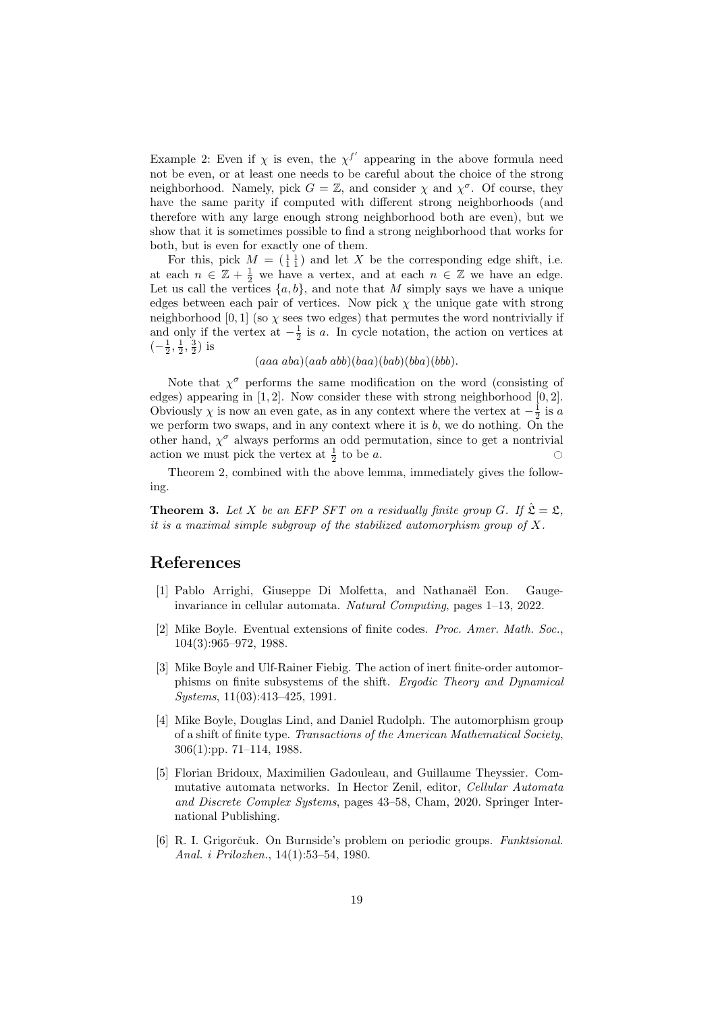Example 2: Even if  $\chi$  is even, the  $\chi^{f'}$  appearing in the above formula need not be even, or at least one needs to be careful about the choice of the strong neighborhood. Namely, pick  $G = \mathbb{Z}$ , and consider  $\chi$  and  $\chi^{\sigma}$ . Of course, they have the same parity if computed with different strong neighborhoods (and therefore with any large enough strong neighborhood both are even), but we show that it is sometimes possible to find a strong neighborhood that works for both, but is even for exactly one of them.

For this, pick  $M = \begin{pmatrix} 1 & 1 \\ 1 & 1 \end{pmatrix}$  and let X be the corresponding edge shift, i.e. at each  $n \in \mathbb{Z} + \frac{1}{2}$  we have a vertex, and at each  $n \in \mathbb{Z}$  we have an edge. Let us call the vertices  $\{a, b\}$ , and note that M simply says we have a unique edges between each pair of vertices. Now pick  $\chi$  the unique gate with strong neighborhood [0, 1] (so  $\chi$  sees two edges) that permutes the word nontrivially if and only if the vertex at  $-\frac{1}{2}$  is a. In cycle notation, the action on vertices at  $\left(-\frac{1}{2},\frac{1}{2},\frac{3}{2}\right)$  is

 $(aaa \, aba)(aab \, abb)(baa)(bab)(bba)(bbb).$ 

Note that  $\chi^{\sigma}$  performs the same modification on the word (consisting of edges) appearing in [1, 2]. Now consider these with strong neighborhood [0, 2]. Obviously  $\chi$  is now an even gate, as in any context where the vertex at  $-\frac{1}{2}$  is a we perform two swaps, and in any context where it is  $b$ , we do nothing. On the other hand,  $\chi^{\sigma}$  always performs an odd permutation, since to get a nontrivial action we must pick the vertex at  $\frac{1}{2}$  to be a.

Theorem 2, combined with the above lemma, immediately gives the following.

**Theorem 3.** Let X be an EFP SFT on a residually finite group G. If  $\hat{\mathfrak{L}} = \mathfrak{L}$ . it is a maximal simple subgroup of the stabilized automorphism group of  $X$ .

# References

- [1] Pablo Arrighi, Giuseppe Di Molfetta, and Nathanaël Eon. Gaugeinvariance in cellular automata. Natural Computing, pages 1–13, 2022.
- [2] Mike Boyle. Eventual extensions of finite codes. Proc. Amer. Math. Soc., 104(3):965–972, 1988.
- [3] Mike Boyle and Ulf-Rainer Fiebig. The action of inert finite-order automorphisms on finite subsystems of the shift. Ergodic Theory and Dynamical Systems, 11(03):413–425, 1991.
- [4] Mike Boyle, Douglas Lind, and Daniel Rudolph. The automorphism group of a shift of finite type. Transactions of the American Mathematical Society, 306(1):pp. 71–114, 1988.
- [5] Florian Bridoux, Maximilien Gadouleau, and Guillaume Theyssier. Commutative automata networks. In Hector Zenil, editor, Cellular Automata and Discrete Complex Systems, pages 43–58, Cham, 2020. Springer International Publishing.
- [6] R. I. Grigorčuk. On Burnside's problem on periodic groups. *Funktsional.* Anal. i Prilozhen., 14(1):53–54, 1980.